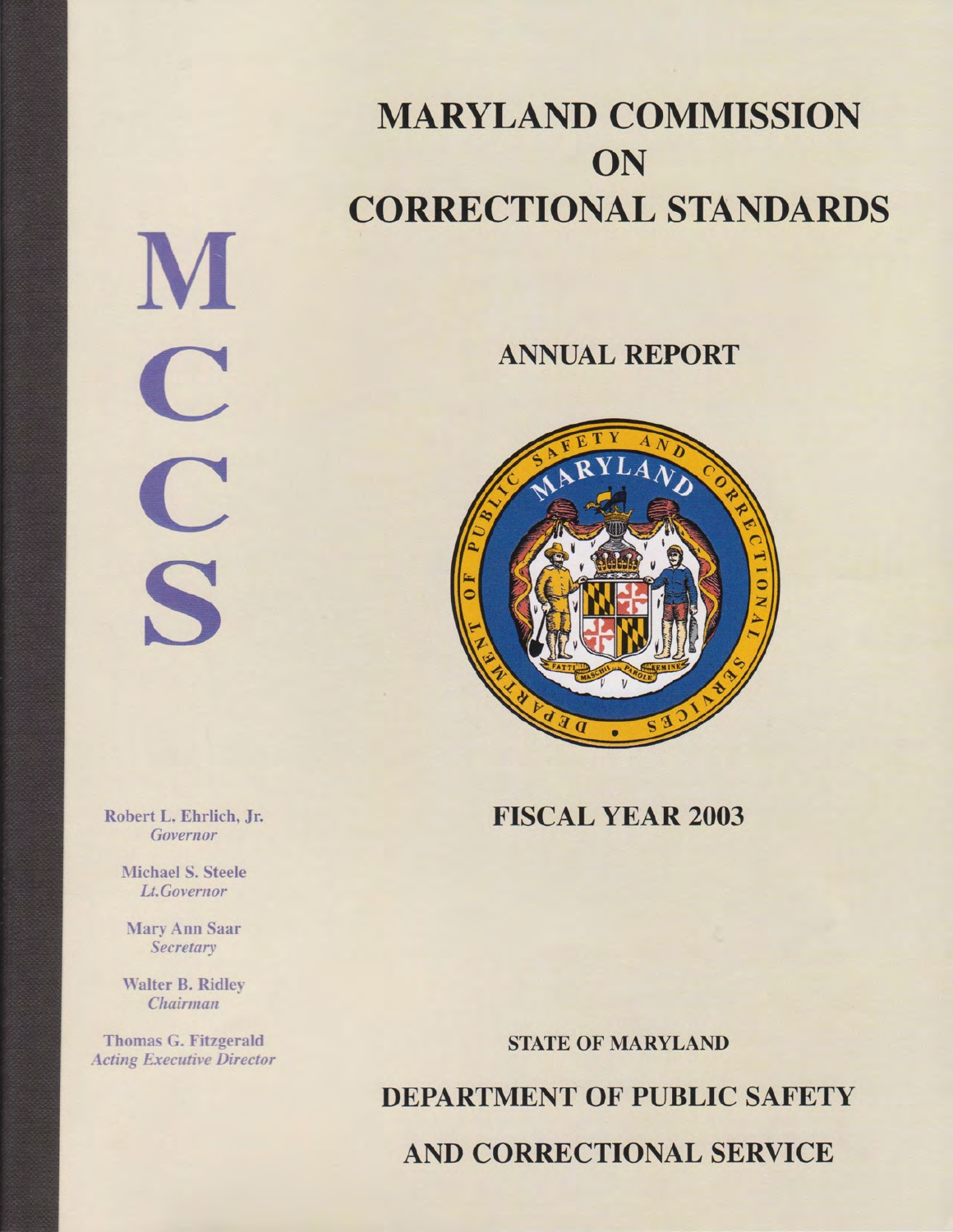# **MARYLAND COMMISSION** ON **CORRECTIONAL STANDARDS**

### **ANNUAL REPORT**



### **FISCAL YEAR 2003**

**STATE OF MARYLAND DEPARTMENT OF PUBLIC SAFETY** AND CORRECTIONAL SERVICE

M  $\bigcap$ C Z

Robert L. Ehrlich, Jr. Governor

> **Michael S. Steele** Lt.Governor

**Mary Ann Saar** Secretary

**Walter B. Ridley** Chairman

**Thomas G. Fitzgerald Acting Executive Director**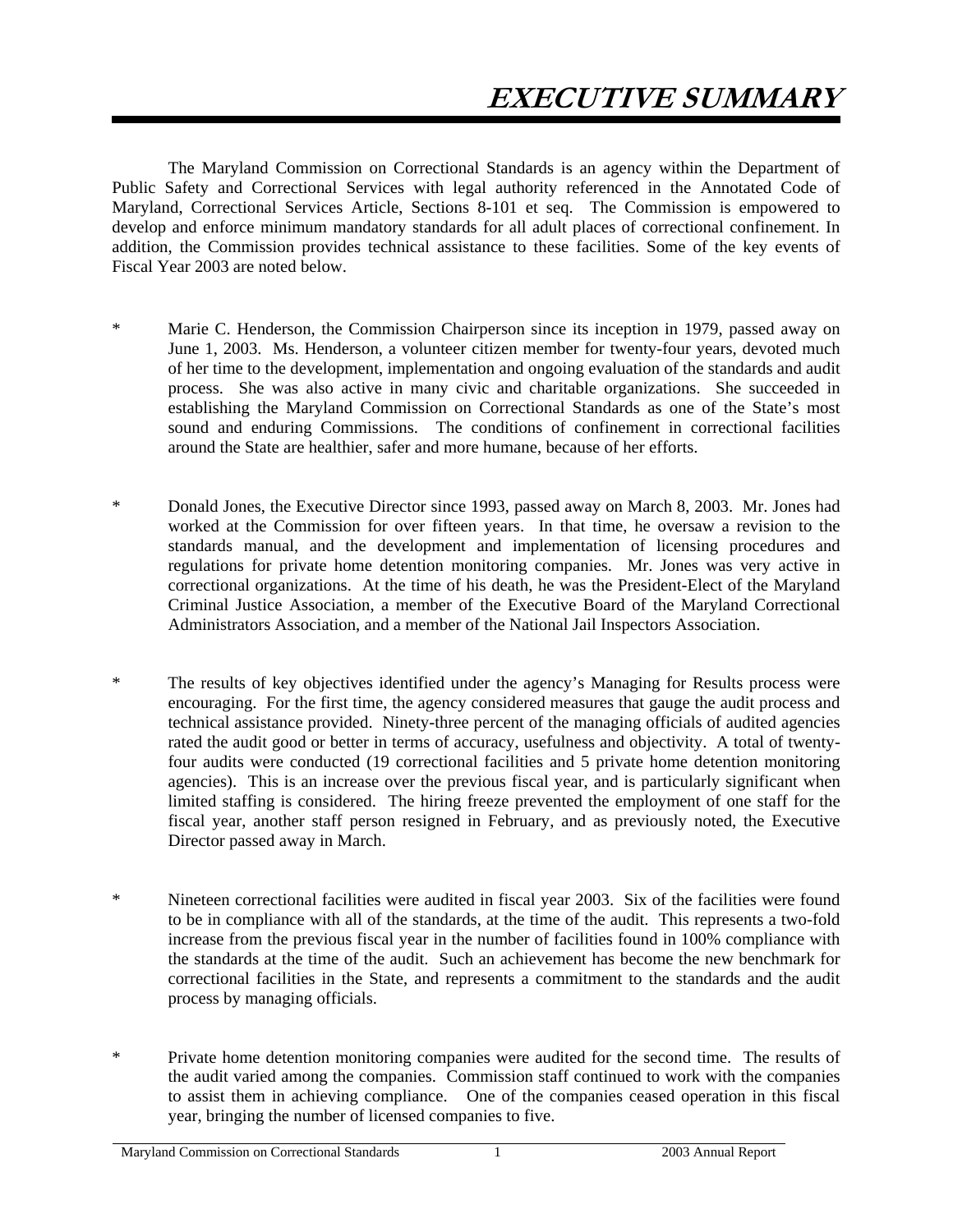The Maryland Commission on Correctional Standards is an agency within the Department of Public Safety and Correctional Services with legal authority referenced in the Annotated Code of Maryland, Correctional Services Article, Sections 8-101 et seq. The Commission is empowered to develop and enforce minimum mandatory standards for all adult places of correctional confinement. In addition, the Commission provides technical assistance to these facilities. Some of the key events of Fiscal Year 2003 are noted below.

- \* Marie C. Henderson, the Commission Chairperson since its inception in 1979, passed away on June 1, 2003. Ms. Henderson, a volunteer citizen member for twenty-four years, devoted much of her time to the development, implementation and ongoing evaluation of the standards and audit process. She was also active in many civic and charitable organizations. She succeeded in establishing the Maryland Commission on Correctional Standards as one of the State's most sound and enduring Commissions. The conditions of confinement in correctional facilities around the State are healthier, safer and more humane, because of her efforts.
- \* Donald Jones, the Executive Director since 1993, passed away on March 8, 2003. Mr. Jones had worked at the Commission for over fifteen years. In that time, he oversaw a revision to the standards manual, and the development and implementation of licensing procedures and regulations for private home detention monitoring companies. Mr. Jones was very active in correctional organizations. At the time of his death, he was the President-Elect of the Maryland Criminal Justice Association, a member of the Executive Board of the Maryland Correctional Administrators Association, and a member of the National Jail Inspectors Association.
- \* The results of key objectives identified under the agency's Managing for Results process were encouraging. For the first time, the agency considered measures that gauge the audit process and technical assistance provided. Ninety-three percent of the managing officials of audited agencies rated the audit good or better in terms of accuracy, usefulness and objectivity. A total of twentyfour audits were conducted (19 correctional facilities and 5 private home detention monitoring agencies). This is an increase over the previous fiscal year, and is particularly significant when limited staffing is considered. The hiring freeze prevented the employment of one staff for the fiscal year, another staff person resigned in February, and as previously noted, the Executive Director passed away in March.
- \* Nineteen correctional facilities were audited in fiscal year 2003. Six of the facilities were found to be in compliance with all of the standards, at the time of the audit. This represents a two-fold increase from the previous fiscal year in the number of facilities found in 100% compliance with the standards at the time of the audit. Such an achievement has become the new benchmark for correctional facilities in the State, and represents a commitment to the standards and the audit process by managing officials.
- \* Private home detention monitoring companies were audited for the second time. The results of the audit varied among the companies. Commission staff continued to work with the companies to assist them in achieving compliance. One of the companies ceased operation in this fiscal year, bringing the number of licensed companies to five.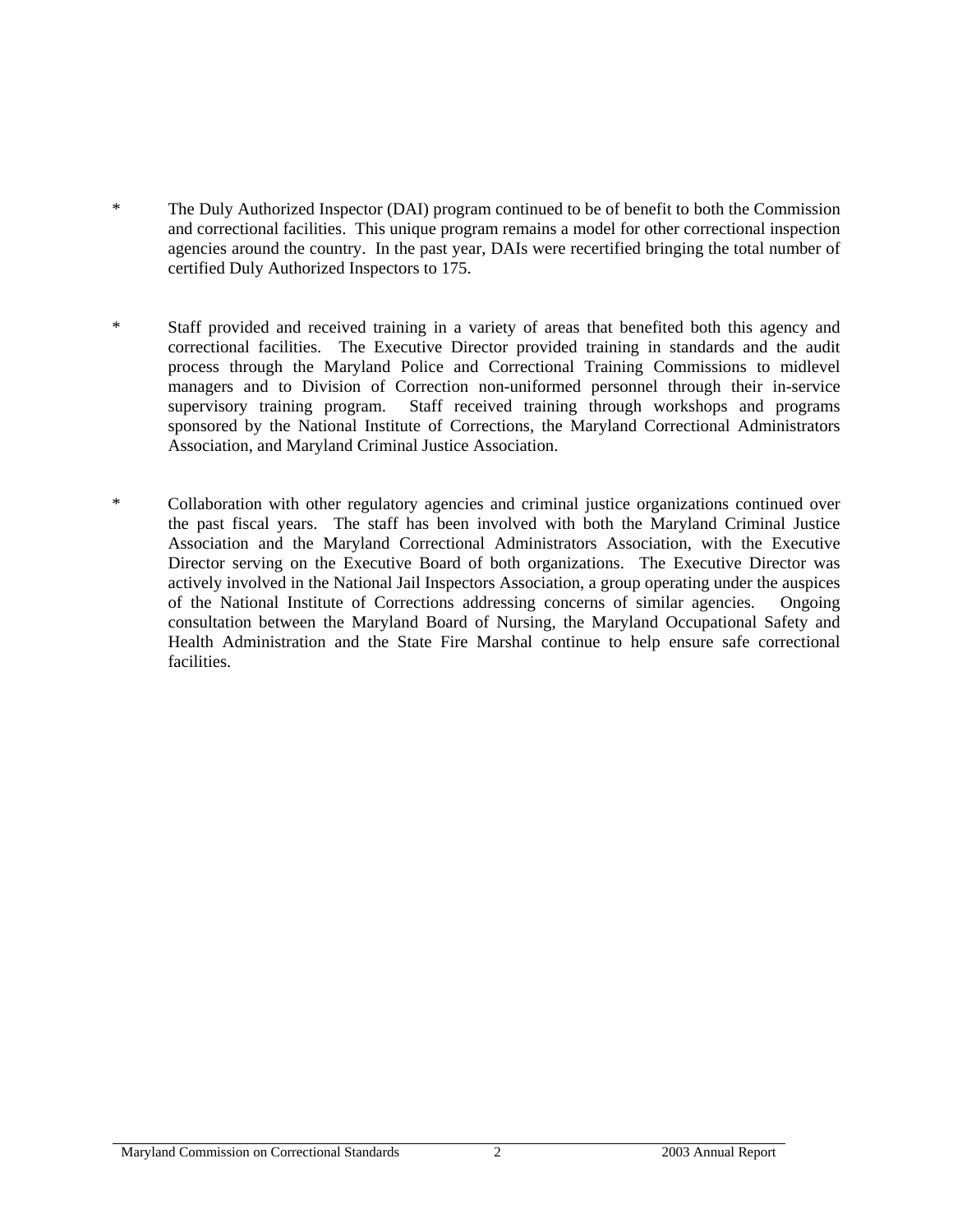- \* The Duly Authorized Inspector (DAI) program continued to be of benefit to both the Commission and correctional facilities. This unique program remains a model for other correctional inspection agencies around the country. In the past year, DAIs were recertified bringing the total number of certified Duly Authorized Inspectors to 175.
- \* Staff provided and received training in a variety of areas that benefited both this agency and correctional facilities. The Executive Director provided training in standards and the audit process through the Maryland Police and Correctional Training Commissions to midlevel managers and to Division of Correction non-uniformed personnel through their in-service supervisory training program. Staff received training through workshops and programs sponsored by the National Institute of Corrections, the Maryland Correctional Administrators Association, and Maryland Criminal Justice Association.
- \* Collaboration with other regulatory agencies and criminal justice organizations continued over the past fiscal years. The staff has been involved with both the Maryland Criminal Justice Association and the Maryland Correctional Administrators Association, with the Executive Director serving on the Executive Board of both organizations. The Executive Director was actively involved in the National Jail Inspectors Association, a group operating under the auspices of the National Institute of Corrections addressing concerns of similar agencies. Ongoing consultation between the Maryland Board of Nursing, the Maryland Occupational Safety and Health Administration and the State Fire Marshal continue to help ensure safe correctional facilities.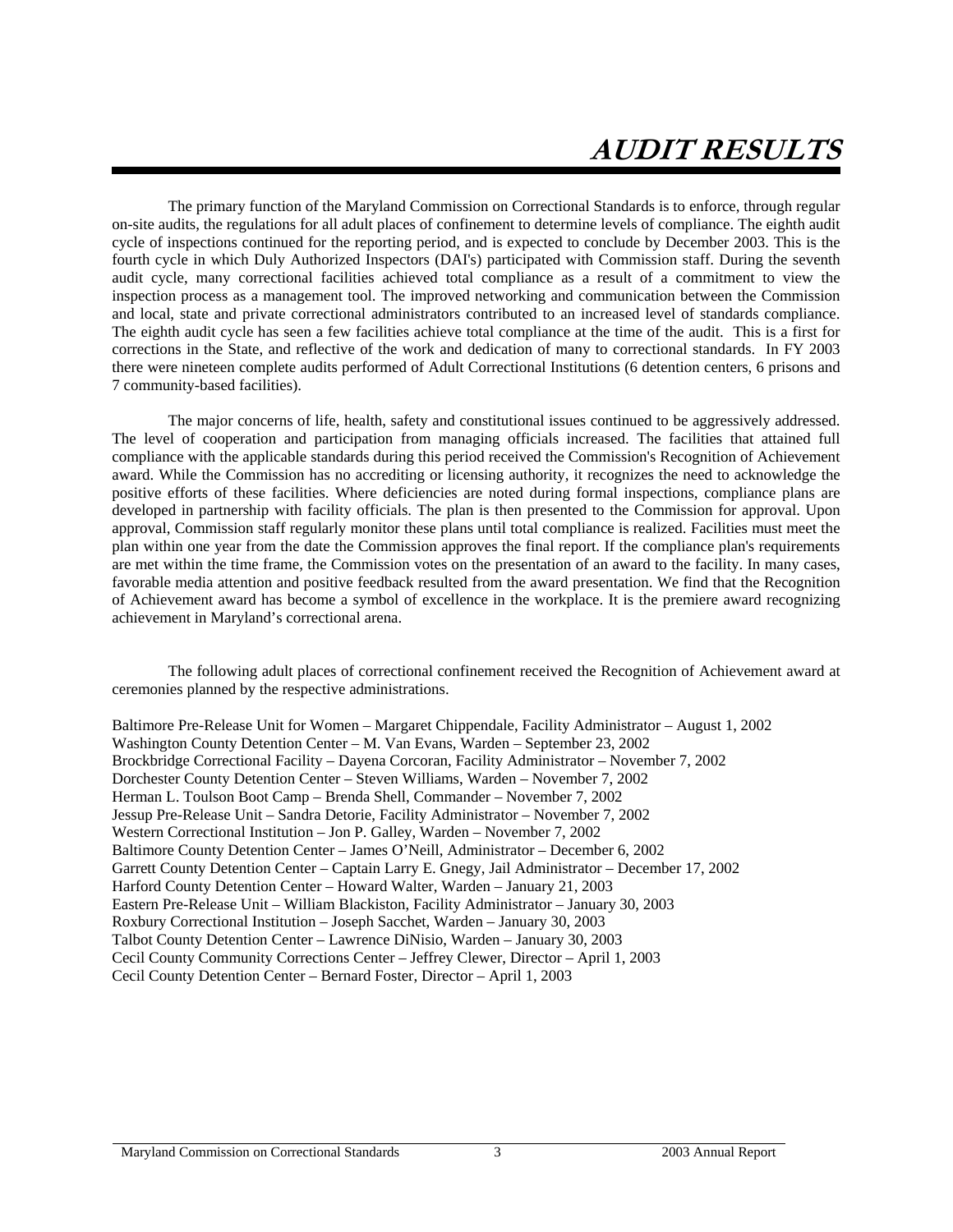# **AUDIT RESULTS**

The primary function of the Maryland Commission on Correctional Standards is to enforce, through regular on-site audits, the regulations for all adult places of confinement to determine levels of compliance. The eighth audit cycle of inspections continued for the reporting period, and is expected to conclude by December 2003. This is the fourth cycle in which Duly Authorized Inspectors (DAI's) participated with Commission staff. During the seventh audit cycle, many correctional facilities achieved total compliance as a result of a commitment to view the inspection process as a management tool. The improved networking and communication between the Commission and local, state and private correctional administrators contributed to an increased level of standards compliance. The eighth audit cycle has seen a few facilities achieve total compliance at the time of the audit. This is a first for corrections in the State, and reflective of the work and dedication of many to correctional standards. In FY 2003 there were nineteen complete audits performed of Adult Correctional Institutions (6 detention centers, 6 prisons and 7 community-based facilities).

The major concerns of life, health, safety and constitutional issues continued to be aggressively addressed. The level of cooperation and participation from managing officials increased. The facilities that attained full compliance with the applicable standards during this period received the Commission's Recognition of Achievement award. While the Commission has no accrediting or licensing authority, it recognizes the need to acknowledge the positive efforts of these facilities. Where deficiencies are noted during formal inspections, compliance plans are developed in partnership with facility officials. The plan is then presented to the Commission for approval. Upon approval, Commission staff regularly monitor these plans until total compliance is realized. Facilities must meet the plan within one year from the date the Commission approves the final report. If the compliance plan's requirements are met within the time frame, the Commission votes on the presentation of an award to the facility. In many cases, favorable media attention and positive feedback resulted from the award presentation. We find that the Recognition of Achievement award has become a symbol of excellence in the workplace. It is the premiere award recognizing achievement in Maryland's correctional arena.

The following adult places of correctional confinement received the Recognition of Achievement award at ceremonies planned by the respective administrations.

Baltimore Pre-Release Unit for Women – Margaret Chippendale, Facility Administrator – August 1, 2002 Washington County Detention Center – M. Van Evans, Warden – September 23, 2002 Brockbridge Correctional Facility – Dayena Corcoran, Facility Administrator – November 7, 2002 Dorchester County Detention Center – Steven Williams, Warden – November 7, 2002 Herman L. Toulson Boot Camp – Brenda Shell, Commander – November 7, 2002 Jessup Pre-Release Unit – Sandra Detorie, Facility Administrator – November 7, 2002 Western Correctional Institution – Jon P. Galley, Warden – November 7, 2002 Baltimore County Detention Center – James O'Neill, Administrator – December 6, 2002 Garrett County Detention Center – Captain Larry E. Gnegy, Jail Administrator – December 17, 2002 Harford County Detention Center – Howard Walter, Warden – January 21, 2003 Eastern Pre-Release Unit – William Blackiston, Facility Administrator – January 30, 2003 Roxbury Correctional Institution – Joseph Sacchet, Warden – January 30, 2003 Talbot County Detention Center – Lawrence DiNisio, Warden – January 30, 2003 Cecil County Community Corrections Center – Jeffrey Clewer, Director – April 1, 2003 Cecil County Detention Center – Bernard Foster, Director – April 1, 2003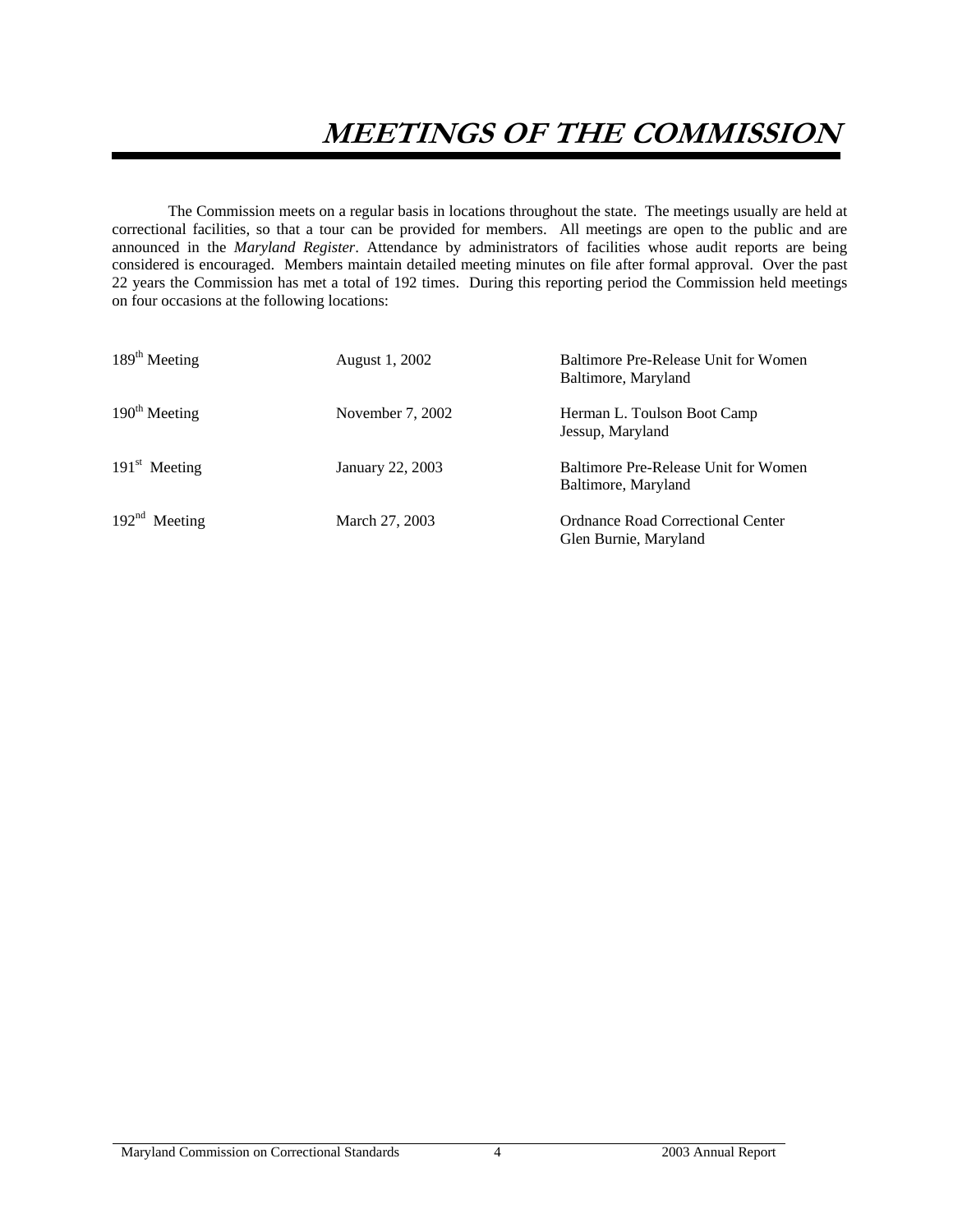# **MEETINGS OF THE COMMISSION**

 The Commission meets on a regular basis in locations throughout the state. The meetings usually are held at correctional facilities, so that a tour can be provided for members. All meetings are open to the public and are announced in the *Maryland Register*. Attendance by administrators of facilities whose audit reports are being considered is encouraged. Members maintain detailed meeting minutes on file after formal approval. Over the past 22 years the Commission has met a total of 192 times. During this reporting period the Commission held meetings on four occasions at the following locations:

| $189th$ Meeting | August 1, 2002   | Baltimore Pre-Release Unit for Women<br>Baltimore, Maryland |
|-----------------|------------------|-------------------------------------------------------------|
| $190th$ Meeting | November 7, 2002 | Herman L. Toulson Boot Camp<br>Jessup, Maryland             |
| $191st$ Meeting | January 22, 2003 | Baltimore Pre-Release Unit for Women<br>Baltimore, Maryland |
| $192nd$ Meeting | March 27, 2003   | Ordnance Road Correctional Center<br>Glen Burnie, Maryland  |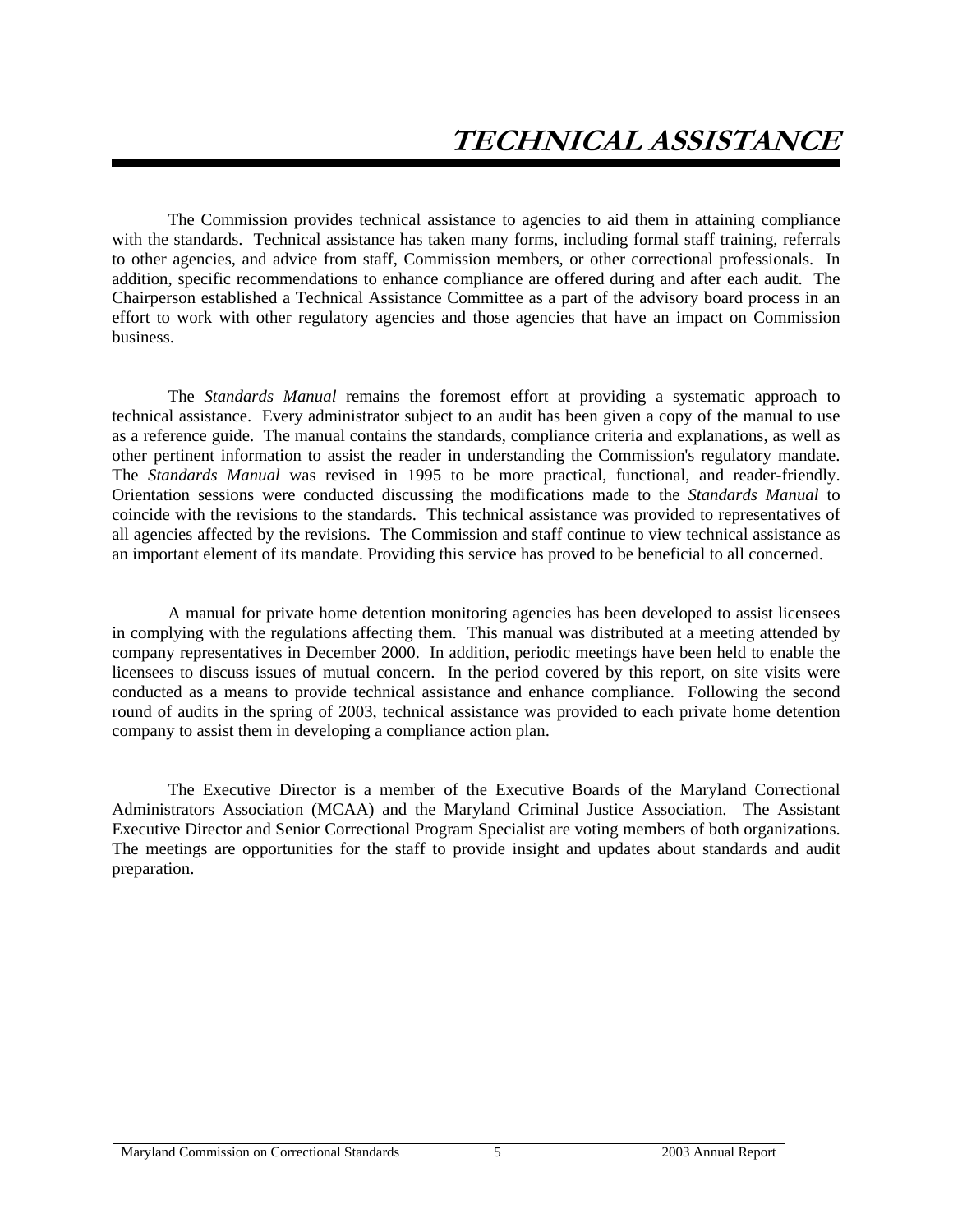The Commission provides technical assistance to agencies to aid them in attaining compliance with the standards. Technical assistance has taken many forms, including formal staff training, referrals to other agencies, and advice from staff, Commission members, or other correctional professionals. In addition, specific recommendations to enhance compliance are offered during and after each audit. The Chairperson established a Technical Assistance Committee as a part of the advisory board process in an effort to work with other regulatory agencies and those agencies that have an impact on Commission business.

The *Standards Manual* remains the foremost effort at providing a systematic approach to technical assistance. Every administrator subject to an audit has been given a copy of the manual to use as a reference guide. The manual contains the standards, compliance criteria and explanations, as well as other pertinent information to assist the reader in understanding the Commission's regulatory mandate. The *Standards Manual* was revised in 1995 to be more practical, functional, and reader-friendly. Orientation sessions were conducted discussing the modifications made to the *Standards Manual* to coincide with the revisions to the standards. This technical assistance was provided to representatives of all agencies affected by the revisions. The Commission and staff continue to view technical assistance as an important element of its mandate. Providing this service has proved to be beneficial to all concerned.

A manual for private home detention monitoring agencies has been developed to assist licensees in complying with the regulations affecting them. This manual was distributed at a meeting attended by company representatives in December 2000. In addition, periodic meetings have been held to enable the licensees to discuss issues of mutual concern. In the period covered by this report, on site visits were conducted as a means to provide technical assistance and enhance compliance. Following the second round of audits in the spring of 2003, technical assistance was provided to each private home detention company to assist them in developing a compliance action plan.

The Executive Director is a member of the Executive Boards of the Maryland Correctional Administrators Association (MCAA) and the Maryland Criminal Justice Association. The Assistant Executive Director and Senior Correctional Program Specialist are voting members of both organizations. The meetings are opportunities for the staff to provide insight and updates about standards and audit preparation.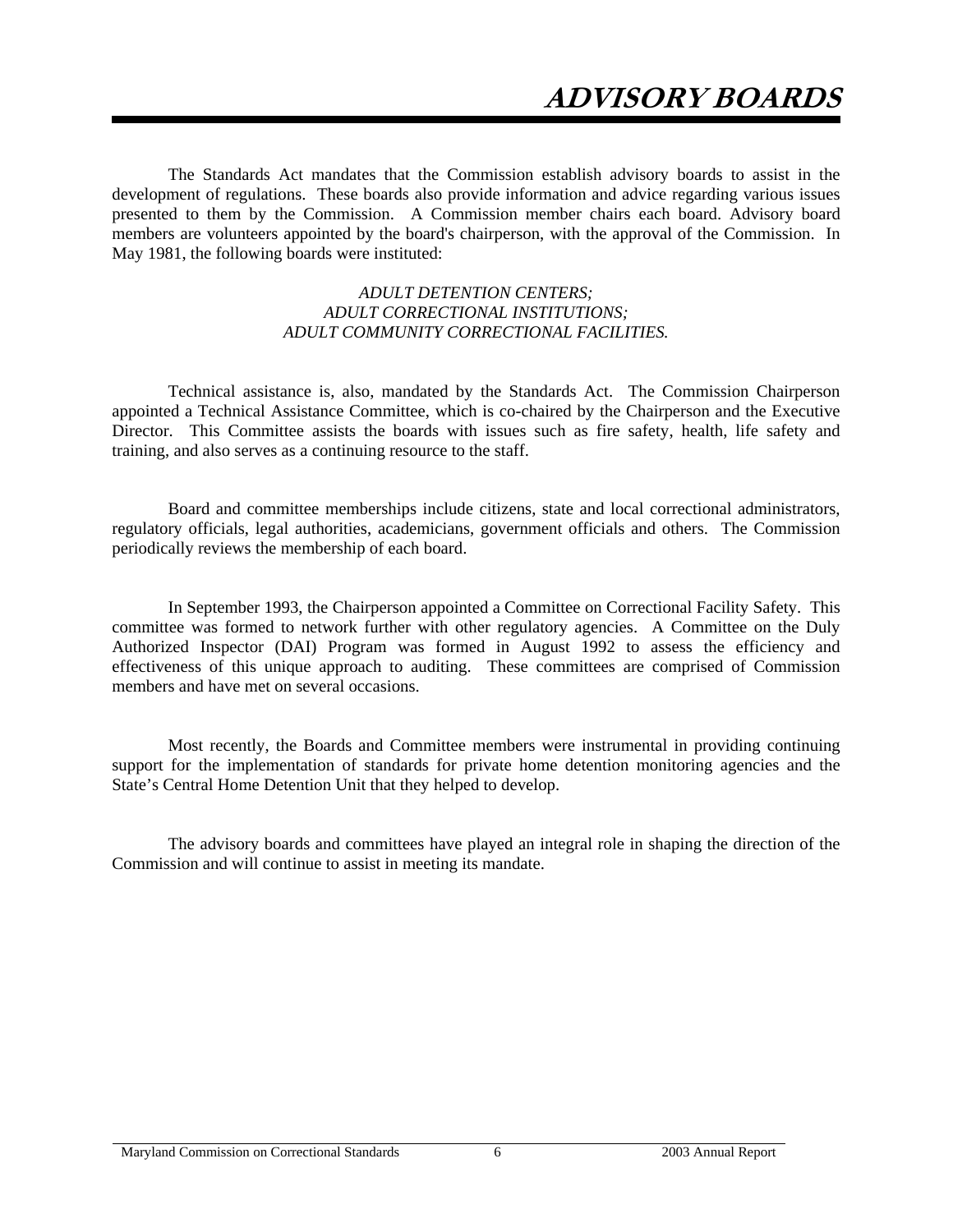The Standards Act mandates that the Commission establish advisory boards to assist in the development of regulations. These boards also provide information and advice regarding various issues presented to them by the Commission. A Commission member chairs each board. Advisory board members are volunteers appointed by the board's chairperson, with the approval of the Commission. In May 1981, the following boards were instituted:

### *ADULT DETENTION CENTERS; ADULT CORRECTIONAL INSTITUTIONS; ADULT COMMUNITY CORRECTIONAL FACILITIES.*

Technical assistance is, also, mandated by the Standards Act. The Commission Chairperson appointed a Technical Assistance Committee, which is co-chaired by the Chairperson and the Executive Director. This Committee assists the boards with issues such as fire safety, health, life safety and training, and also serves as a continuing resource to the staff.

Board and committee memberships include citizens, state and local correctional administrators, regulatory officials, legal authorities, academicians, government officials and others. The Commission periodically reviews the membership of each board.

In September 1993, the Chairperson appointed a Committee on Correctional Facility Safety. This committee was formed to network further with other regulatory agencies. A Committee on the Duly Authorized Inspector (DAI) Program was formed in August 1992 to assess the efficiency and effectiveness of this unique approach to auditing. These committees are comprised of Commission members and have met on several occasions.

Most recently, the Boards and Committee members were instrumental in providing continuing support for the implementation of standards for private home detention monitoring agencies and the State's Central Home Detention Unit that they helped to develop.

The advisory boards and committees have played an integral role in shaping the direction of the Commission and will continue to assist in meeting its mandate.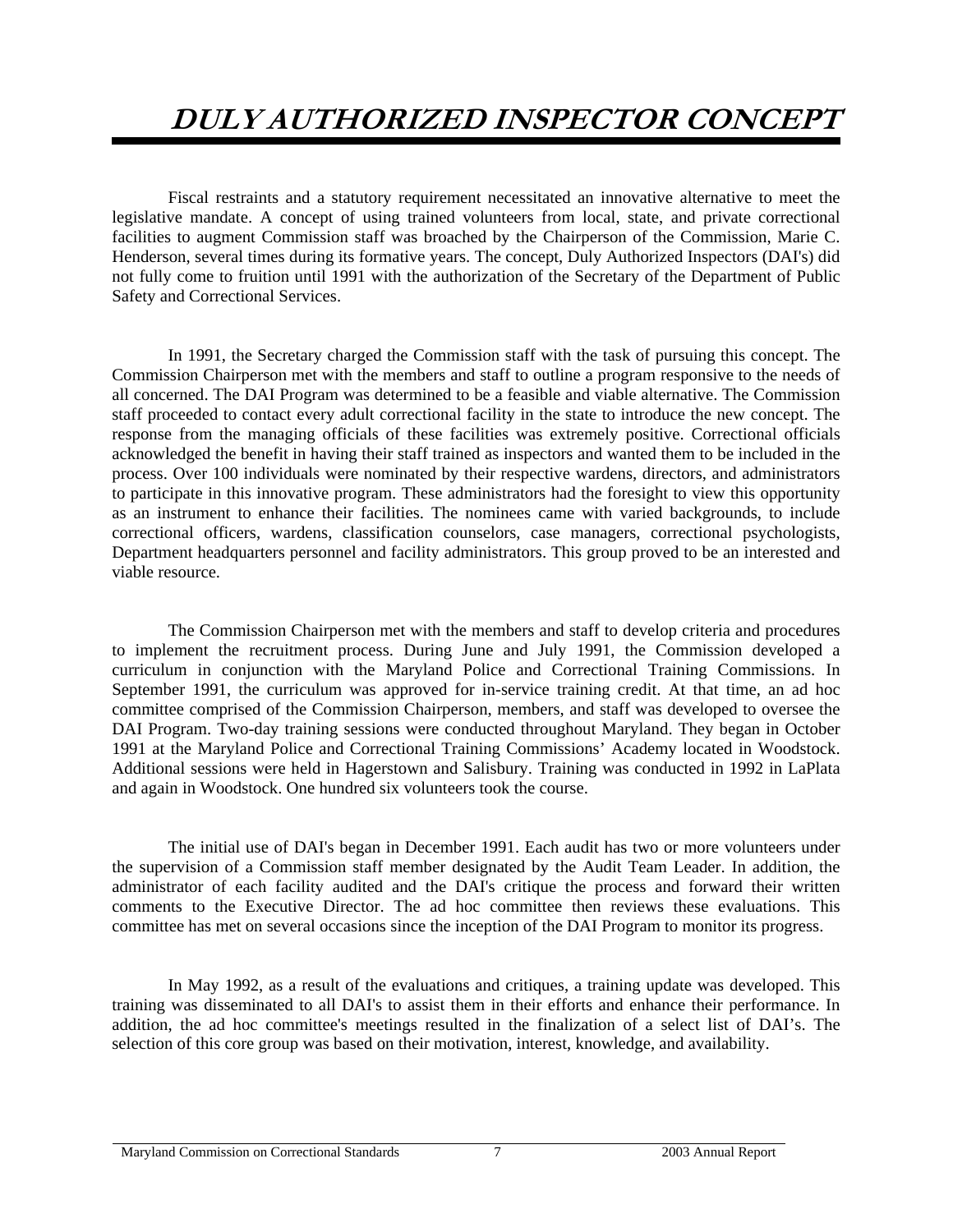# **DULY AUTHORIZED INSPECTOR CONCEPT**

Fiscal restraints and a statutory requirement necessitated an innovative alternative to meet the legislative mandate. A concept of using trained volunteers from local, state, and private correctional facilities to augment Commission staff was broached by the Chairperson of the Commission, Marie C. Henderson, several times during its formative years. The concept, Duly Authorized Inspectors (DAI's) did not fully come to fruition until 1991 with the authorization of the Secretary of the Department of Public Safety and Correctional Services.

In 1991, the Secretary charged the Commission staff with the task of pursuing this concept. The Commission Chairperson met with the members and staff to outline a program responsive to the needs of all concerned. The DAI Program was determined to be a feasible and viable alternative. The Commission staff proceeded to contact every adult correctional facility in the state to introduce the new concept. The response from the managing officials of these facilities was extremely positive. Correctional officials acknowledged the benefit in having their staff trained as inspectors and wanted them to be included in the process. Over 100 individuals were nominated by their respective wardens, directors, and administrators to participate in this innovative program. These administrators had the foresight to view this opportunity as an instrument to enhance their facilities. The nominees came with varied backgrounds, to include correctional officers, wardens, classification counselors, case managers, correctional psychologists, Department headquarters personnel and facility administrators. This group proved to be an interested and viable resource.

The Commission Chairperson met with the members and staff to develop criteria and procedures to implement the recruitment process. During June and July 1991, the Commission developed a curriculum in conjunction with the Maryland Police and Correctional Training Commissions. In September 1991, the curriculum was approved for in-service training credit. At that time, an ad hoc committee comprised of the Commission Chairperson, members, and staff was developed to oversee the DAI Program. Two-day training sessions were conducted throughout Maryland. They began in October 1991 at the Maryland Police and Correctional Training Commissions' Academy located in Woodstock. Additional sessions were held in Hagerstown and Salisbury. Training was conducted in 1992 in LaPlata and again in Woodstock. One hundred six volunteers took the course.

The initial use of DAI's began in December 1991. Each audit has two or more volunteers under the supervision of a Commission staff member designated by the Audit Team Leader. In addition, the administrator of each facility audited and the DAI's critique the process and forward their written comments to the Executive Director. The ad hoc committee then reviews these evaluations. This committee has met on several occasions since the inception of the DAI Program to monitor its progress.

In May 1992, as a result of the evaluations and critiques, a training update was developed. This training was disseminated to all DAI's to assist them in their efforts and enhance their performance. In addition, the ad hoc committee's meetings resulted in the finalization of a select list of DAI's. The selection of this core group was based on their motivation, interest, knowledge, and availability.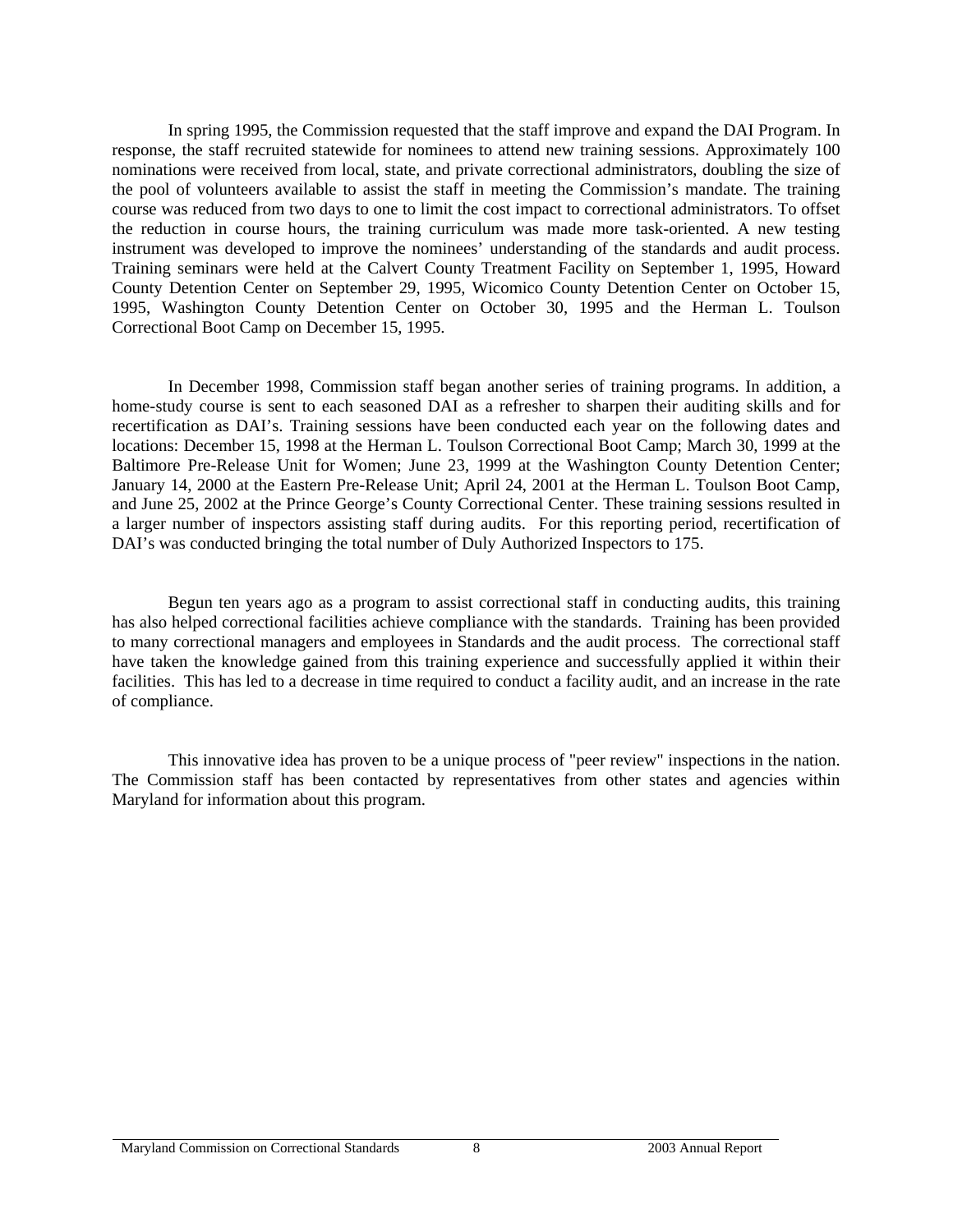In spring 1995, the Commission requested that the staff improve and expand the DAI Program. In response, the staff recruited statewide for nominees to attend new training sessions. Approximately 100 nominations were received from local, state, and private correctional administrators, doubling the size of the pool of volunteers available to assist the staff in meeting the Commission's mandate. The training course was reduced from two days to one to limit the cost impact to correctional administrators. To offset the reduction in course hours, the training curriculum was made more task-oriented. A new testing instrument was developed to improve the nominees' understanding of the standards and audit process. Training seminars were held at the Calvert County Treatment Facility on September 1, 1995, Howard County Detention Center on September 29, 1995, Wicomico County Detention Center on October 15, 1995, Washington County Detention Center on October 30, 1995 and the Herman L. Toulson Correctional Boot Camp on December 15, 1995.

 In December 1998, Commission staff began another series of training programs. In addition, a home-study course is sent to each seasoned DAI as a refresher to sharpen their auditing skills and for recertification as DAI's. Training sessions have been conducted each year on the following dates and locations: December 15, 1998 at the Herman L. Toulson Correctional Boot Camp; March 30, 1999 at the Baltimore Pre-Release Unit for Women; June 23, 1999 at the Washington County Detention Center; January 14, 2000 at the Eastern Pre-Release Unit; April 24, 2001 at the Herman L. Toulson Boot Camp, and June 25, 2002 at the Prince George's County Correctional Center. These training sessions resulted in a larger number of inspectors assisting staff during audits. For this reporting period, recertification of DAI's was conducted bringing the total number of Duly Authorized Inspectors to 175.

 Begun ten years ago as a program to assist correctional staff in conducting audits, this training has also helped correctional facilities achieve compliance with the standards. Training has been provided to many correctional managers and employees in Standards and the audit process. The correctional staff have taken the knowledge gained from this training experience and successfully applied it within their facilities. This has led to a decrease in time required to conduct a facility audit, and an increase in the rate of compliance.

This innovative idea has proven to be a unique process of "peer review" inspections in the nation. The Commission staff has been contacted by representatives from other states and agencies within Maryland for information about this program.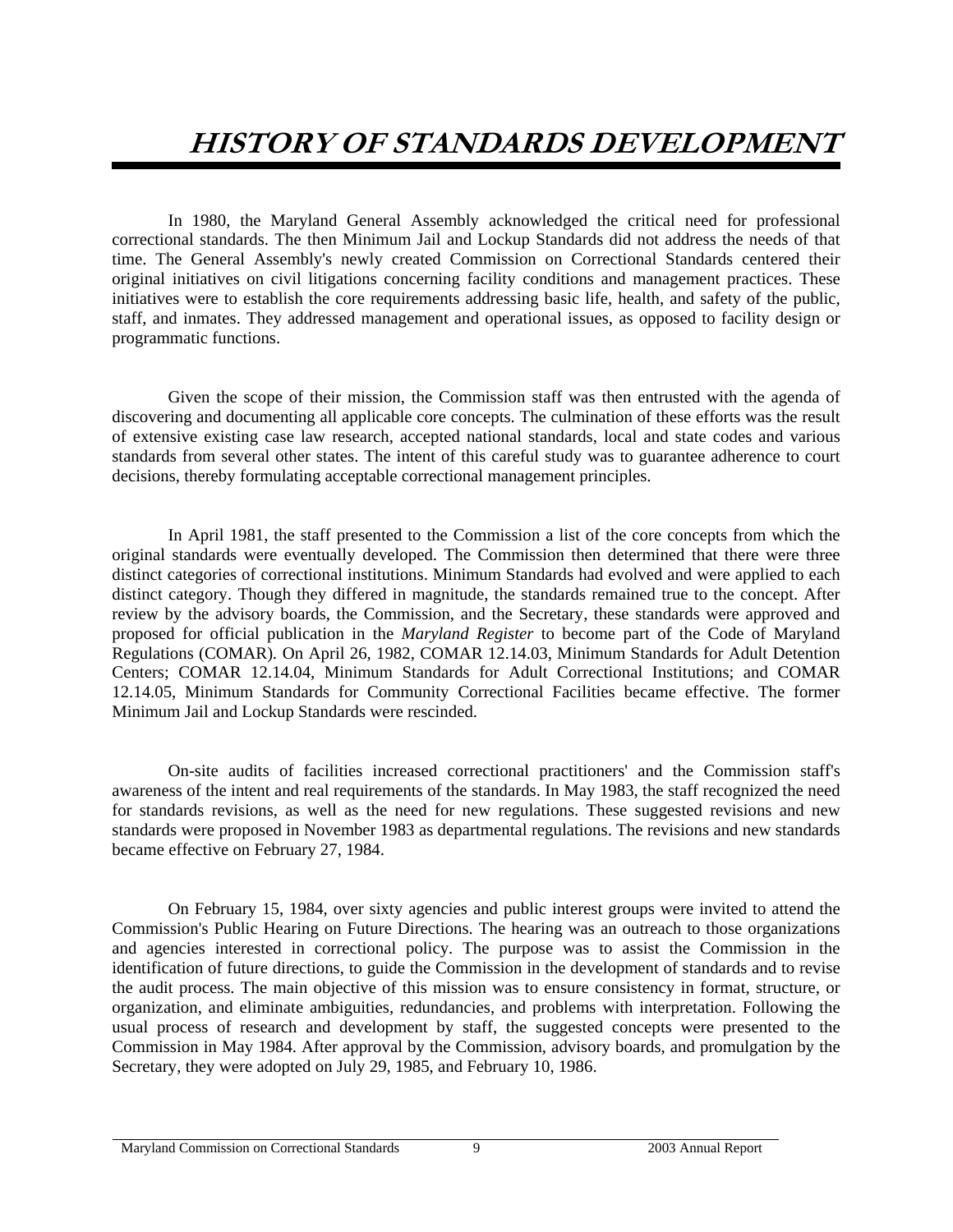## **HISTORY OF STANDARDS DEVELOPMENT**

In 1980, the Maryland General Assembly acknowledged the critical need for professional correctional standards. The then Minimum Jail and Lockup Standards did not address the needs of that time. The General Assembly's newly created Commission on Correctional Standards centered their original initiatives on civil litigations concerning facility conditions and management practices. These initiatives were to establish the core requirements addressing basic life, health, and safety of the public, staff, and inmates. They addressed management and operational issues, as opposed to facility design or programmatic functions.

Given the scope of their mission, the Commission staff was then entrusted with the agenda of discovering and documenting all applicable core concepts. The culmination of these efforts was the result of extensive existing case law research, accepted national standards, local and state codes and various standards from several other states. The intent of this careful study was to guarantee adherence to court decisions, thereby formulating acceptable correctional management principles.

In April 1981, the staff presented to the Commission a list of the core concepts from which the original standards were eventually developed. The Commission then determined that there were three distinct categories of correctional institutions. Minimum Standards had evolved and were applied to each distinct category. Though they differed in magnitude, the standards remained true to the concept. After review by the advisory boards, the Commission, and the Secretary, these standards were approved and proposed for official publication in the *Maryland Register* to become part of the Code of Maryland Regulations (COMAR)*.* On April 26, 1982, COMAR 12.14.03, Minimum Standards for Adult Detention Centers; COMAR 12.14.04, Minimum Standards for Adult Correctional Institutions; and COMAR 12.14.05, Minimum Standards for Community Correctional Facilities became effective. The former Minimum Jail and Lockup Standards were rescinded.

On-site audits of facilities increased correctional practitioners' and the Commission staff's awareness of the intent and real requirements of the standards. In May 1983, the staff recognized the need for standards revisions, as well as the need for new regulations. These suggested revisions and new standards were proposed in November 1983 as departmental regulations. The revisions and new standards became effective on February 27, 1984.

On February 15, 1984, over sixty agencies and public interest groups were invited to attend the Commission's Public Hearing on Future Directions. The hearing was an outreach to those organizations and agencies interested in correctional policy. The purpose was to assist the Commission in the identification of future directions, to guide the Commission in the development of standards and to revise the audit process. The main objective of this mission was to ensure consistency in format, structure, or organization, and eliminate ambiguities, redundancies, and problems with interpretation. Following the usual process of research and development by staff, the suggested concepts were presented to the Commission in May 1984. After approval by the Commission, advisory boards, and promulgation by the Secretary, they were adopted on July 29, 1985, and February 10, 1986.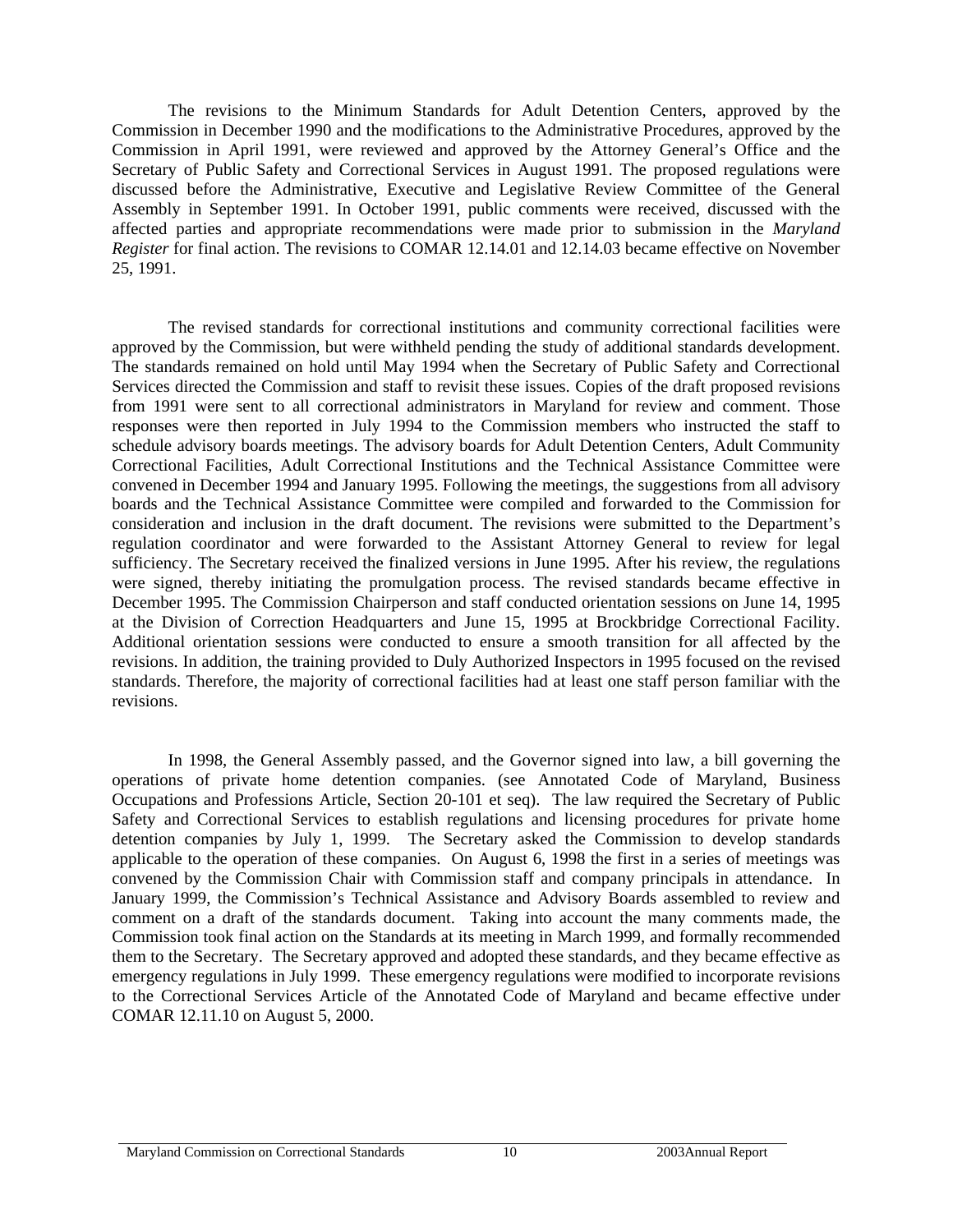The revisions to the Minimum Standards for Adult Detention Centers, approved by the Commission in December 1990 and the modifications to the Administrative Procedures, approved by the Commission in April 1991, were reviewed and approved by the Attorney General's Office and the Secretary of Public Safety and Correctional Services in August 1991. The proposed regulations were discussed before the Administrative, Executive and Legislative Review Committee of the General Assembly in September 1991. In October 1991, public comments were received, discussed with the affected parties and appropriate recommendations were made prior to submission in the *Maryland Register* for final action. The revisions to COMAR 12.14.01 and 12.14.03 became effective on November 25, 1991.

The revised standards for correctional institutions and community correctional facilities were approved by the Commission, but were withheld pending the study of additional standards development. The standards remained on hold until May 1994 when the Secretary of Public Safety and Correctional Services directed the Commission and staff to revisit these issues. Copies of the draft proposed revisions from 1991 were sent to all correctional administrators in Maryland for review and comment. Those responses were then reported in July 1994 to the Commission members who instructed the staff to schedule advisory boards meetings. The advisory boards for Adult Detention Centers, Adult Community Correctional Facilities, Adult Correctional Institutions and the Technical Assistance Committee were convened in December 1994 and January 1995. Following the meetings, the suggestions from all advisory boards and the Technical Assistance Committee were compiled and forwarded to the Commission for consideration and inclusion in the draft document. The revisions were submitted to the Department's regulation coordinator and were forwarded to the Assistant Attorney General to review for legal sufficiency. The Secretary received the finalized versions in June 1995. After his review, the regulations were signed, thereby initiating the promulgation process. The revised standards became effective in December 1995. The Commission Chairperson and staff conducted orientation sessions on June 14, 1995 at the Division of Correction Headquarters and June 15, 1995 at Brockbridge Correctional Facility. Additional orientation sessions were conducted to ensure a smooth transition for all affected by the revisions. In addition, the training provided to Duly Authorized Inspectors in 1995 focused on the revised standards. Therefore, the majority of correctional facilities had at least one staff person familiar with the revisions.

In 1998, the General Assembly passed, and the Governor signed into law, a bill governing the operations of private home detention companies. (see Annotated Code of Maryland, Business Occupations and Professions Article, Section 20-101 et seq). The law required the Secretary of Public Safety and Correctional Services to establish regulations and licensing procedures for private home detention companies by July 1, 1999. The Secretary asked the Commission to develop standards applicable to the operation of these companies. On August 6, 1998 the first in a series of meetings was convened by the Commission Chair with Commission staff and company principals in attendance. In January 1999, the Commission's Technical Assistance and Advisory Boards assembled to review and comment on a draft of the standards document. Taking into account the many comments made, the Commission took final action on the Standards at its meeting in March 1999, and formally recommended them to the Secretary. The Secretary approved and adopted these standards, and they became effective as emergency regulations in July 1999. These emergency regulations were modified to incorporate revisions to the Correctional Services Article of the Annotated Code of Maryland and became effective under COMAR 12.11.10 on August 5, 2000.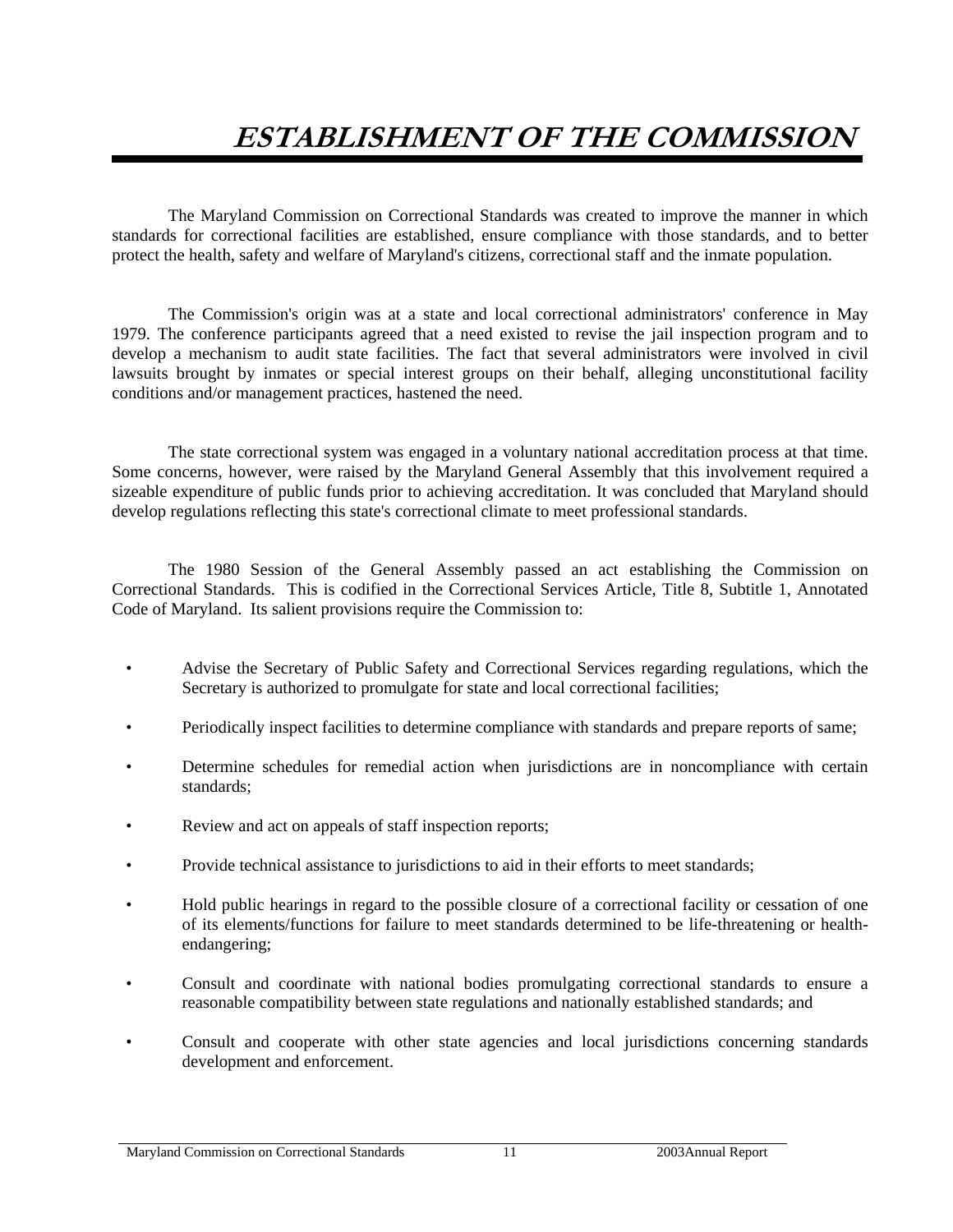# **ESTABLISHMENT OF THE COMMISSION**

The Maryland Commission on Correctional Standards was created to improve the manner in which standards for correctional facilities are established, ensure compliance with those standards, and to better protect the health, safety and welfare of Maryland's citizens, correctional staff and the inmate population.

The Commission's origin was at a state and local correctional administrators' conference in May 1979. The conference participants agreed that a need existed to revise the jail inspection program and to develop a mechanism to audit state facilities. The fact that several administrators were involved in civil lawsuits brought by inmates or special interest groups on their behalf, alleging unconstitutional facility conditions and/or management practices, hastened the need.

The state correctional system was engaged in a voluntary national accreditation process at that time. Some concerns, however, were raised by the Maryland General Assembly that this involvement required a sizeable expenditure of public funds prior to achieving accreditation. It was concluded that Maryland should develop regulations reflecting this state's correctional climate to meet professional standards.

The 1980 Session of the General Assembly passed an act establishing the Commission on Correctional Standards. This is codified in the Correctional Services Article, Title 8, Subtitle 1, Annotated Code of Maryland. Its salient provisions require the Commission to:

- Advise the Secretary of Public Safety and Correctional Services regarding regulations, which the Secretary is authorized to promulgate for state and local correctional facilities;
- Periodically inspect facilities to determine compliance with standards and prepare reports of same;
- Determine schedules for remedial action when jurisdictions are in noncompliance with certain standards;
- Review and act on appeals of staff inspection reports;
- Provide technical assistance to jurisdictions to aid in their efforts to meet standards;
- Hold public hearings in regard to the possible closure of a correctional facility or cessation of one of its elements/functions for failure to meet standards determined to be life-threatening or healthendangering;
- Consult and coordinate with national bodies promulgating correctional standards to ensure a reasonable compatibility between state regulations and nationally established standards; and
- Consult and cooperate with other state agencies and local jurisdictions concerning standards development and enforcement.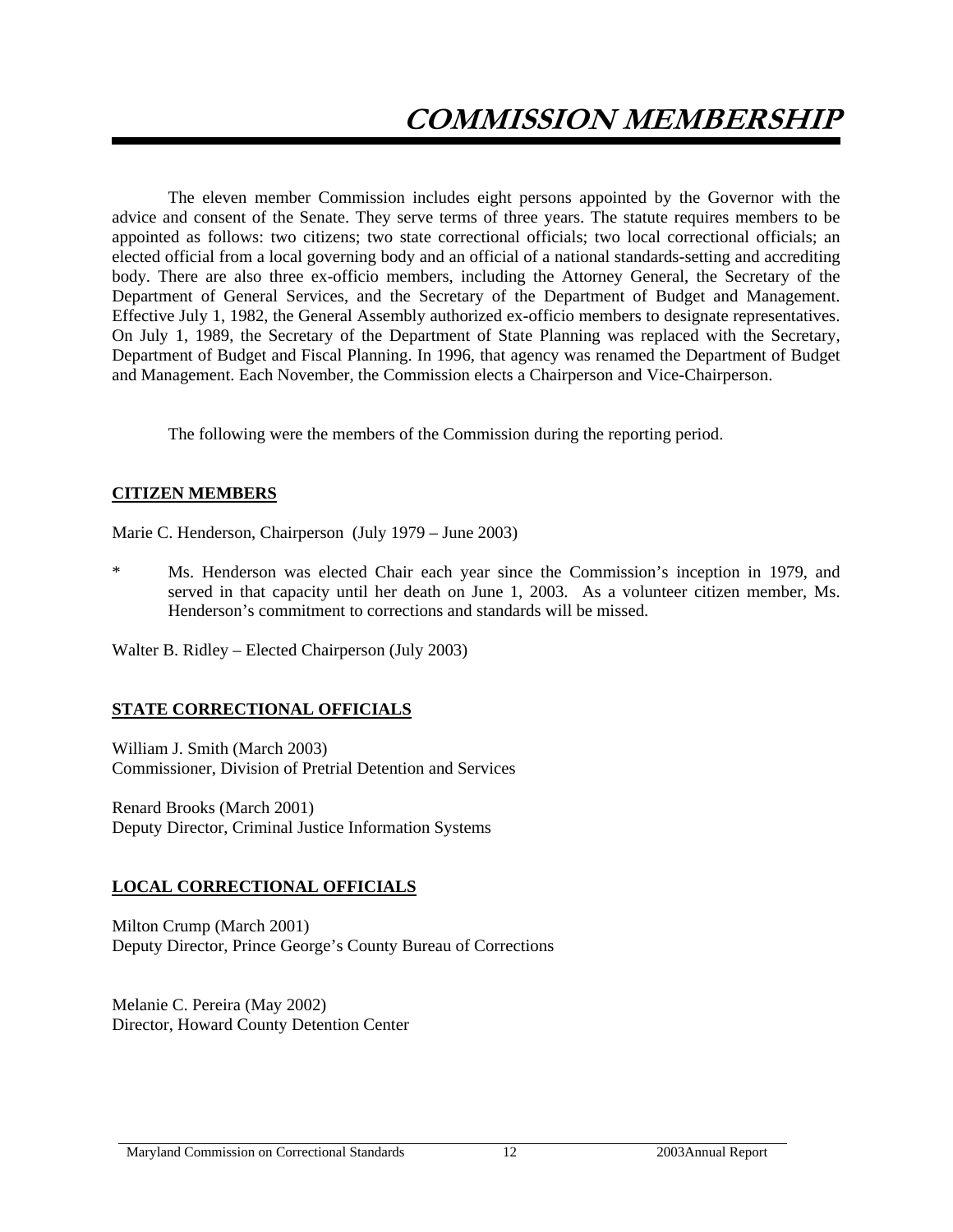The eleven member Commission includes eight persons appointed by the Governor with the advice and consent of the Senate. They serve terms of three years. The statute requires members to be appointed as follows: two citizens; two state correctional officials; two local correctional officials; an elected official from a local governing body and an official of a national standards-setting and accrediting body. There are also three ex-officio members, including the Attorney General, the Secretary of the Department of General Services, and the Secretary of the Department of Budget and Management. Effective July 1, 1982, the General Assembly authorized ex-officio members to designate representatives. On July 1, 1989, the Secretary of the Department of State Planning was replaced with the Secretary, Department of Budget and Fiscal Planning. In 1996, that agency was renamed the Department of Budget and Management. Each November, the Commission elects a Chairperson and Vice-Chairperson.

The following were the members of the Commission during the reporting period.

### **CITIZEN MEMBERS**

Marie C. Henderson, Chairperson (July 1979 – June 2003)

\* Ms. Henderson was elected Chair each year since the Commission's inception in 1979, and served in that capacity until her death on June 1, 2003. As a volunteer citizen member, Ms. Henderson's commitment to corrections and standards will be missed.

Walter B. Ridley – Elected Chairperson (July 2003)

### **STATE CORRECTIONAL OFFICIALS**

William J. Smith (March 2003) Commissioner, Division of Pretrial Detention and Services

Renard Brooks (March 2001) Deputy Director, Criminal Justice Information Systems

### **LOCAL CORRECTIONAL OFFICIALS**

Milton Crump (March 2001) Deputy Director, Prince George's County Bureau of Corrections

Melanie C. Pereira (May 2002) Director, Howard County Detention Center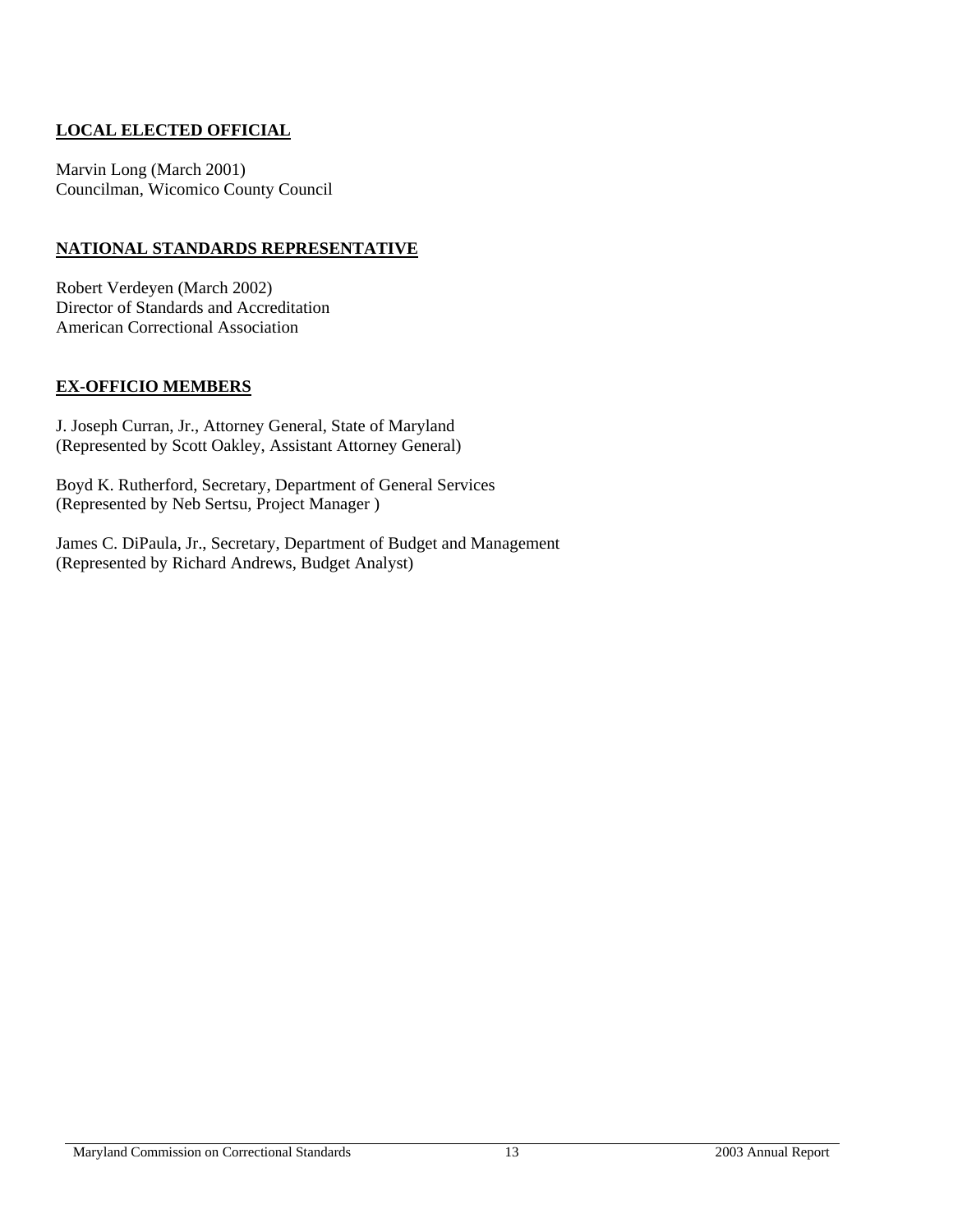### **LOCAL ELECTED OFFICIAL**

Marvin Long (March 2001) Councilman, Wicomico County Council

### **NATIONAL STANDARDS REPRESENTATIVE**

Robert Verdeyen (March 2002) Director of Standards and Accreditation American Correctional Association

### **EX-OFFICIO MEMBERS**

J. Joseph Curran, Jr., Attorney General, State of Maryland (Represented by Scott Oakley, Assistant Attorney General)

Boyd K. Rutherford, Secretary, Department of General Services (Represented by Neb Sertsu, Project Manager )

James C. DiPaula, Jr., Secretary, Department of Budget and Management (Represented by Richard Andrews, Budget Analyst)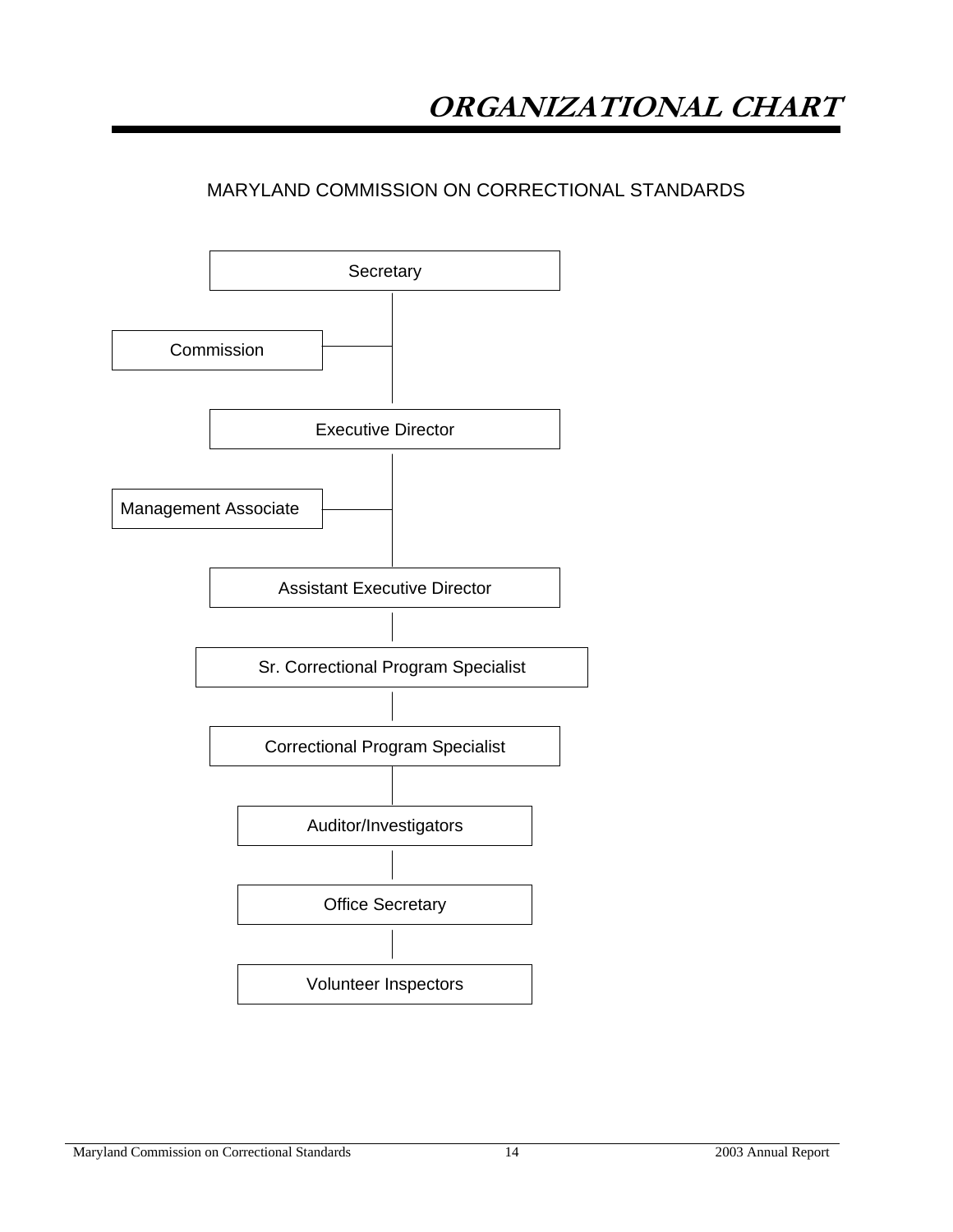## **ORGANIZATIONAL CHART**

### MARYLAND COMMISSION ON CORRECTIONAL STANDARDS

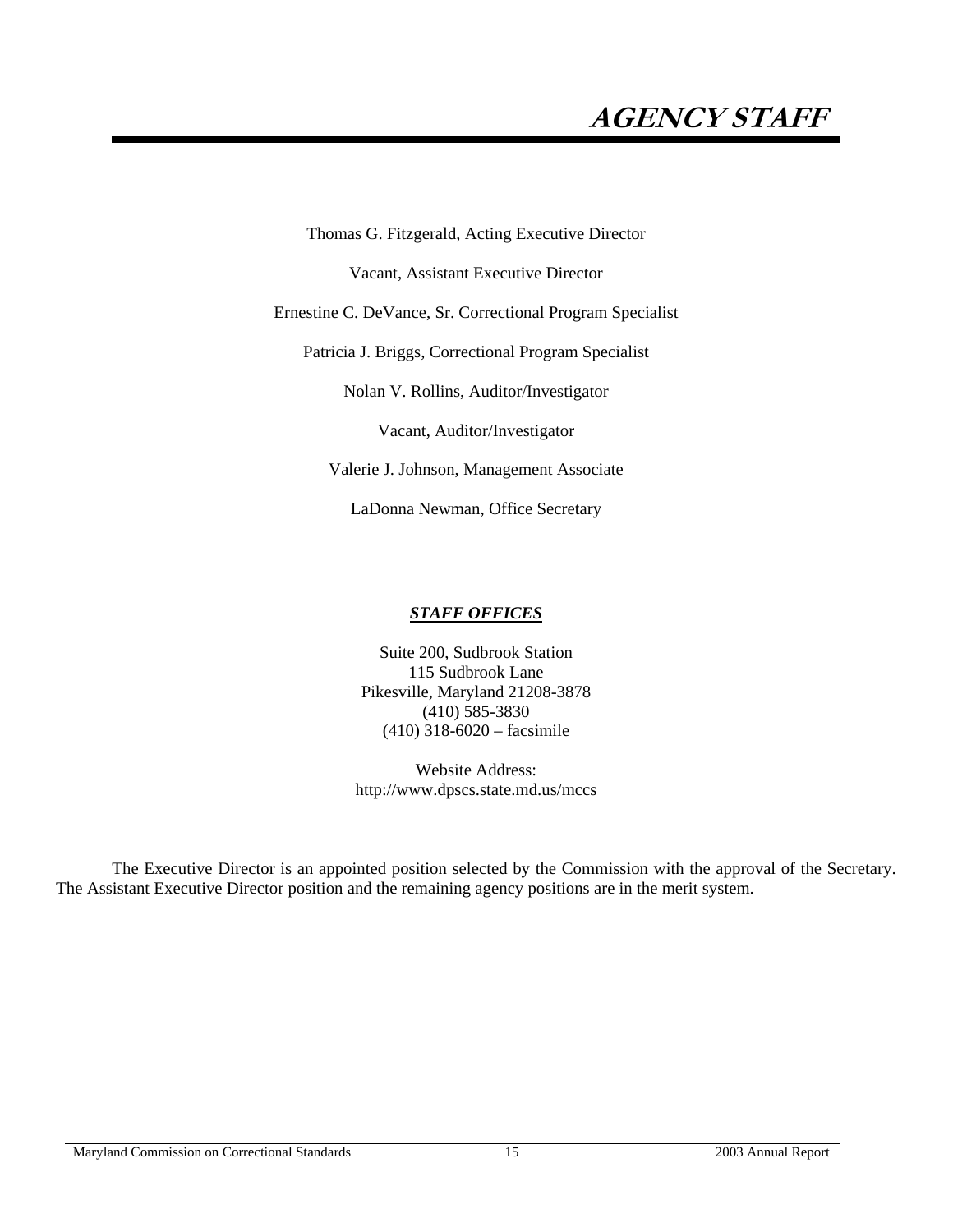# **AGENCY STAFF**

Thomas G. Fitzgerald, Acting Executive Director

Vacant, Assistant Executive Director

Ernestine C. DeVance, Sr. Correctional Program Specialist

Patricia J. Briggs, Correctional Program Specialist

Nolan V. Rollins, Auditor/Investigator

Vacant, Auditor/Investigator

Valerie J. Johnson, Management Associate

LaDonna Newman, Office Secretary

#### *STAFF OFFICES*

Suite 200, Sudbrook Station 115 Sudbrook Lane Pikesville, Maryland 21208-3878 (410) 585-3830 (410) 318-6020 – facsimile

Website Address: http://www.dpscs.state.md.us/mccs

The Executive Director is an appointed position selected by the Commission with the approval of the Secretary. The Assistant Executive Director position and the remaining agency positions are in the merit system.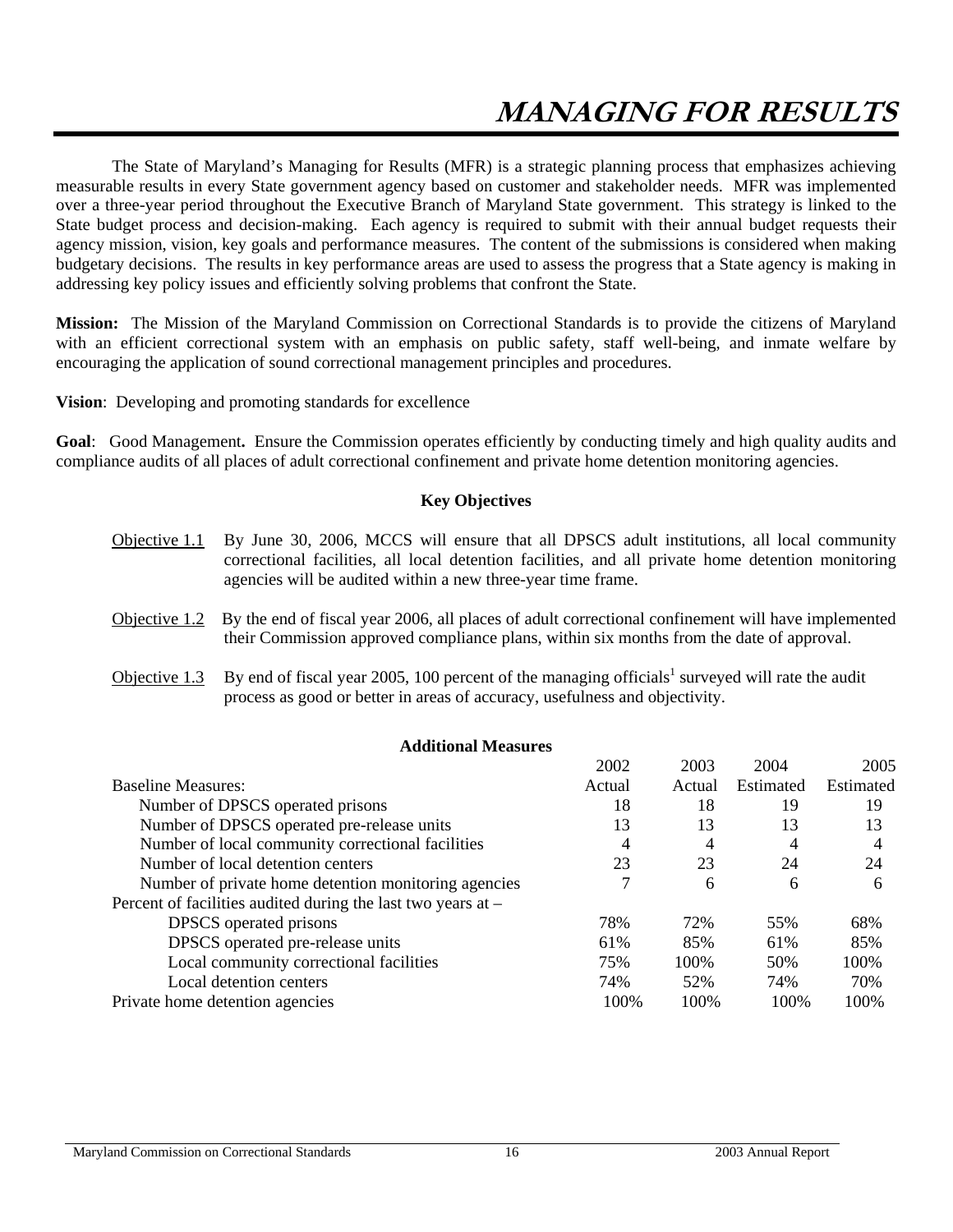# **MANAGING FOR RESULTS**

The State of Maryland's Managing for Results (MFR) is a strategic planning process that emphasizes achieving measurable results in every State government agency based on customer and stakeholder needs. MFR was implemented over a three-year period throughout the Executive Branch of Maryland State government. This strategy is linked to the State budget process and decision-making. Each agency is required to submit with their annual budget requests their agency mission, vision, key goals and performance measures. The content of the submissions is considered when making budgetary decisions. The results in key performance areas are used to assess the progress that a State agency is making in addressing key policy issues and efficiently solving problems that confront the State.

**Mission:** The Mission of the Maryland Commission on Correctional Standards is to provide the citizens of Maryland with an efficient correctional system with an emphasis on public safety, staff well-being, and inmate welfare by encouraging the application of sound correctional management principles and procedures.

**Vision**: Developing and promoting standards for excellence

**Goal**: Good Management**.** Ensure the Commission operates efficiently by conducting timely and high quality audits and compliance audits of all places of adult correctional confinement and private home detention monitoring agencies.

### **Key Objectives**

- Objective 1.1 By June 30, 2006, MCCS will ensure that all DPSCS adult institutions, all local community correctional facilities, all local detention facilities, and all private home detention monitoring agencies will be audited within a new three-year time frame.
- Objective 1.2 By the end of fiscal year 2006, all places of adult correctional confinement will have implemented their Commission approved compliance plans, within six months from the date of approval.
- Objective  $1.3$  By end of fiscal year 2005, 100 percent of the managing officials<sup>1</sup> surveyed will rate the audit process as good or better in areas of accuracy, usefulness and objectivity.

### **Additional Measures**

|                                                              | 2002   | 2003   | 2004      | 2005      |
|--------------------------------------------------------------|--------|--------|-----------|-----------|
| <b>Baseline Measures:</b>                                    | Actual | Actual | Estimated | Estimated |
| Number of DPSCS operated prisons                             | 18     | 18     | 19        | 19        |
| Number of DPSCS operated pre-release units                   | 13     | 13     | 13        | 13        |
| Number of local community correctional facilities            | 4      | 4      | 4         | 4         |
| Number of local detention centers                            | 23     | 23     | 24        | 24        |
| Number of private home detention monitoring agencies         |        | 6      | 6         | 6         |
| Percent of facilities audited during the last two years at - |        |        |           |           |
| DPSCS operated prisons                                       | 78%    | 72%    | 55%       | 68%       |
| DPSCS operated pre-release units                             | 61%    | 85%    | 61%       | 85%       |
| Local community correctional facilities                      | 75%    | 100\%  | 50%       | 100%      |
| Local detention centers                                      | 74%    | 52%    | 74%       | 70%       |
| Private home detention agencies                              | 100%   | 100\%  | 100\%     | 100\%     |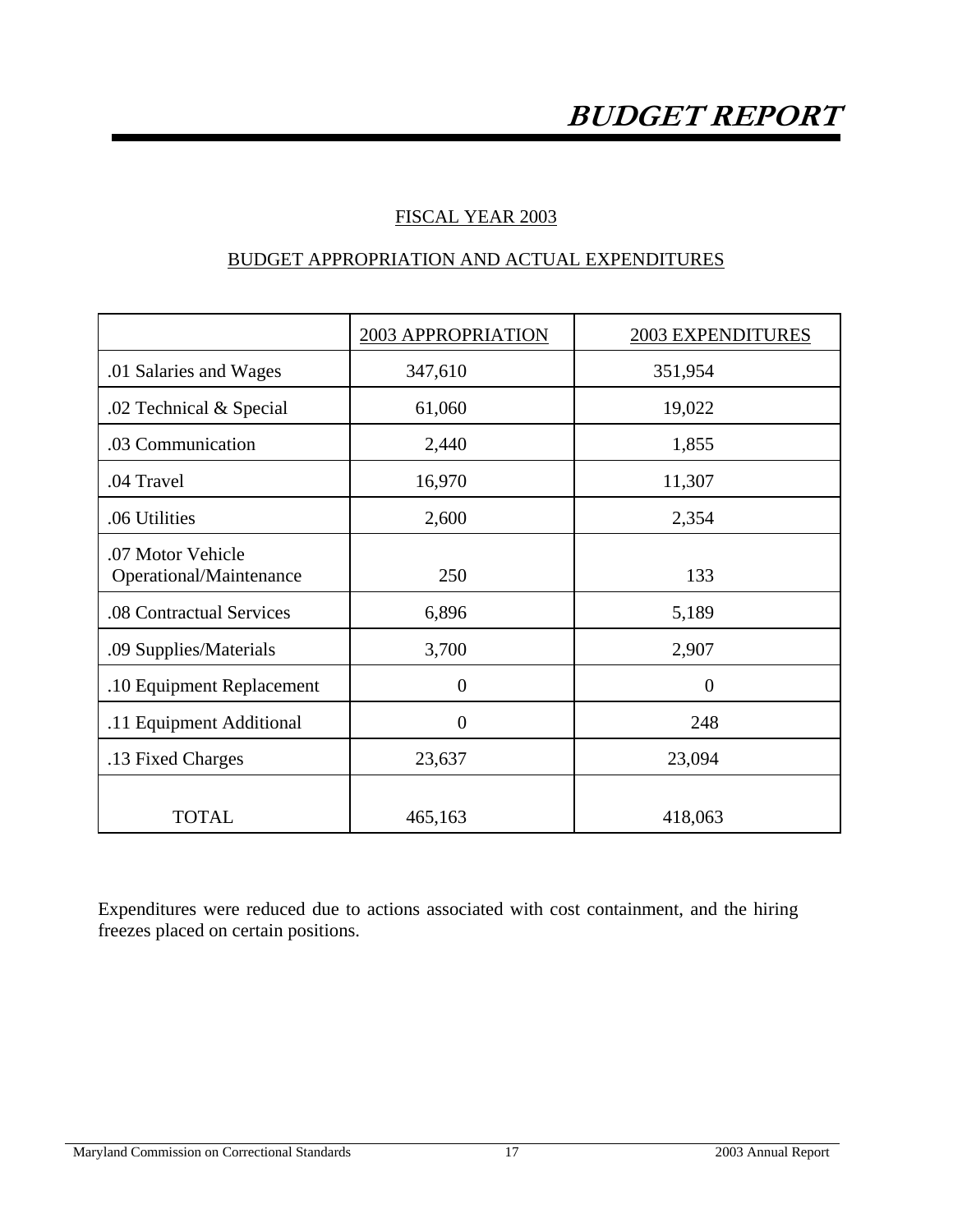## **BUDGET REPORT**

### FISCAL YEAR 2003

### BUDGET APPROPRIATION AND ACTUAL EXPENDITURES

|                                              | 2003 APPROPRIATION | 2003 EXPENDITURES |
|----------------------------------------------|--------------------|-------------------|
| .01 Salaries and Wages                       | 347,610            | 351,954           |
| .02 Technical & Special                      | 61,060             | 19,022            |
| .03 Communication                            | 2,440              | 1,855             |
| .04 Travel                                   | 16,970             | 11,307            |
| .06 Utilities                                | 2,600              | 2,354             |
| .07 Motor Vehicle<br>Operational/Maintenance | 250                | 133               |
| .08 Contractual Services                     | 6,896              | 5,189             |
| .09 Supplies/Materials                       | 3,700              | 2,907             |
| .10 Equipment Replacement                    | $\overline{0}$     | $\overline{0}$    |
| .11 Equipment Additional                     | $\overline{0}$     | 248               |
| .13 Fixed Charges                            | 23,637             | 23,094            |
| <b>TOTAL</b>                                 | 465,163            | 418,063           |

Expenditures were reduced due to actions associated with cost containment, and the hiring freezes placed on certain positions.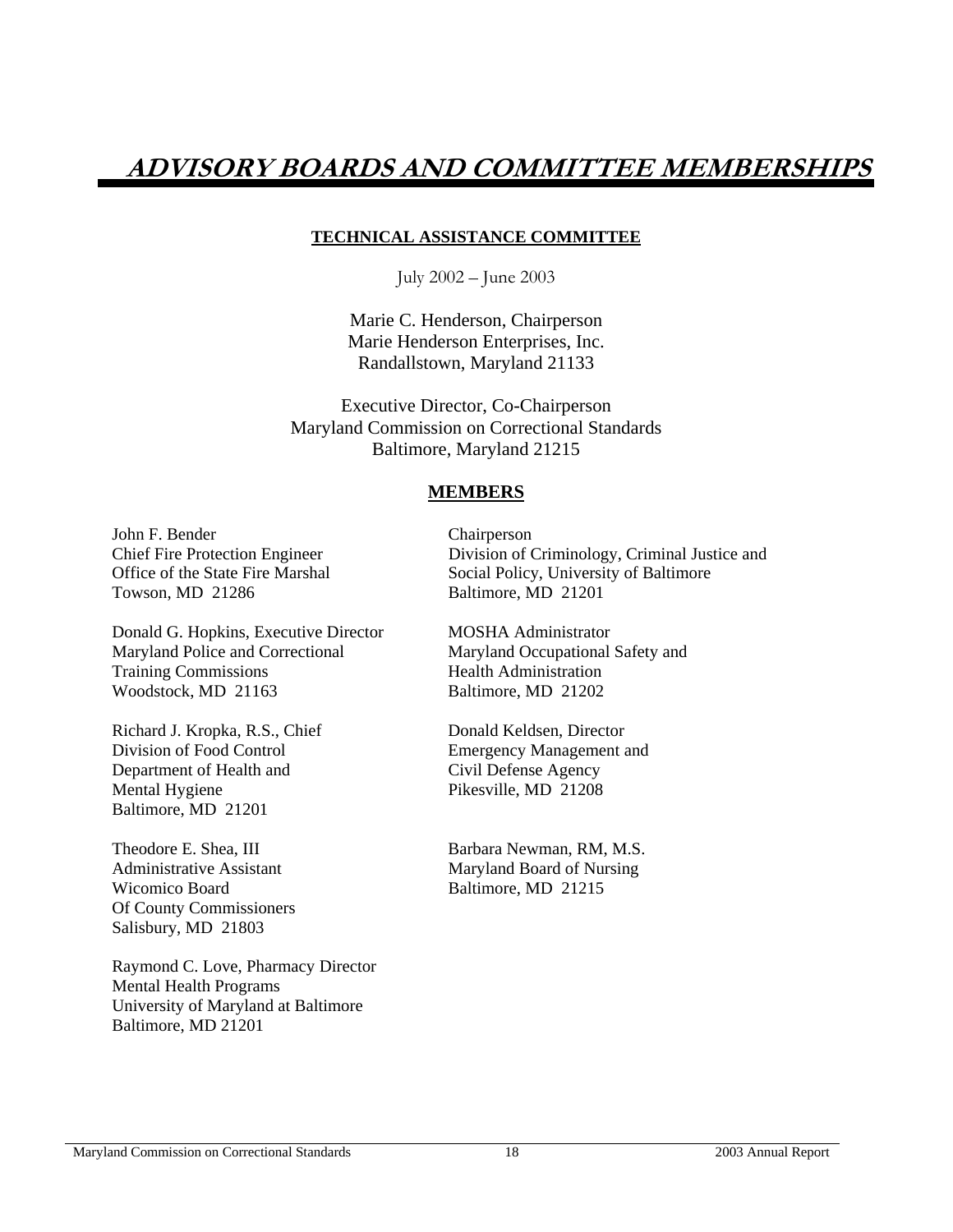### **TECHNICAL ASSISTANCE COMMITTEE**

July 2002 – June 2003

Marie C. Henderson, Chairperson Marie Henderson Enterprises, Inc. Randallstown, Maryland 21133

Executive Director, Co-Chairperson Maryland Commission on Correctional Standards Baltimore, Maryland 21215

### **MEMBERS**

John F. Bender Chairperson Towson, MD 21286 Baltimore, MD 21201

Donald G. Hopkins, Executive Director MOSHA Administrator Maryland Police and Correctional Maryland Occupational Safety and Training Commissions Health Administration Woodstock, MD 21163 Baltimore, MD 21202

Richard J. Kropka, R.S., Chief Donald Keldsen, Director Division of Food Control Emergency Management and Department of Health and Civil Defense Agency Mental Hygiene Pikesville, MD 21208 Baltimore, MD 21201

Wicomico Board Baltimore, MD 21215 Of County Commissioners Salisbury, MD 21803

Raymond C. Love, Pharmacy Director Mental Health Programs University of Maryland at Baltimore Baltimore, MD 21201

Chief Fire Protection Engineer Division of Criminology, Criminal Justice and Office of the State Fire Marshal Social Policy, University of Baltimore

Theodore E. Shea, III Barbara Newman, RM, M.S. Administrative Assistant Maryland Board of Nursing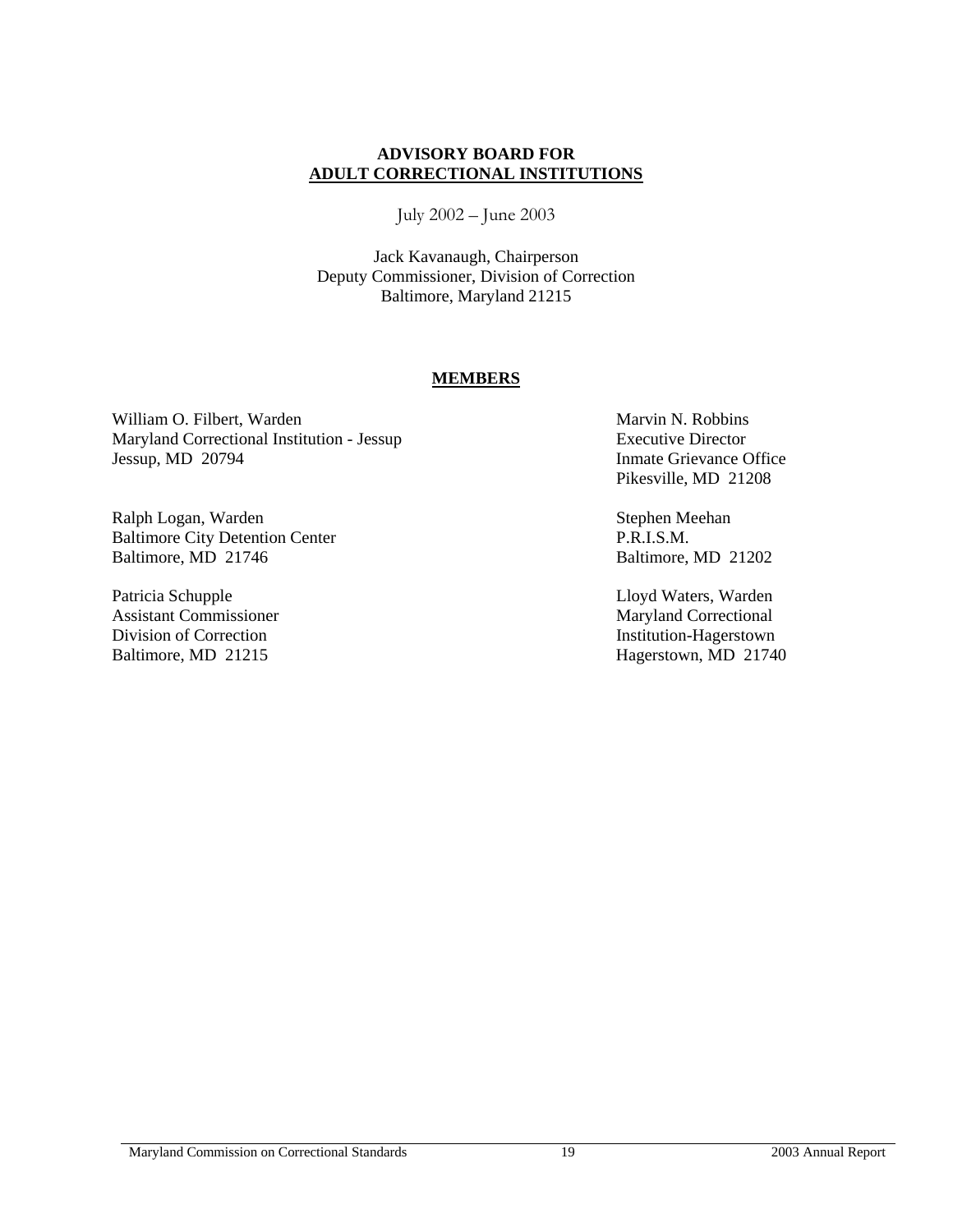### **ADVISORY BOARD FOR ADULT CORRECTIONAL INSTITUTIONS**

July 2002 – June 2003

Jack Kavanaugh, Chairperson Deputy Commissioner, Division of Correction Baltimore, Maryland 21215

#### **MEMBERS**

William O. Filbert, Warden Marvin N. Robbins Maryland Correctional Institution - Jessup Executive Director Jessup, MD 20794 Inmate Grievance Office

Ralph Logan, Warden Stephen Meehan Baltimore City Detention Center P.R.I.S.M.<br>Baltimore, MD 21746 Baltimore,

Patricia Schupple **Patricia Schupple** Lloyd Waters, Warden Assistant Commissioner Maryland Correctional Division of Correction Institution-Hagerstown

Pikesville, MD 21208

Baltimore, MD 21202

Baltimore, MD 21215 Hagerstown, MD 21740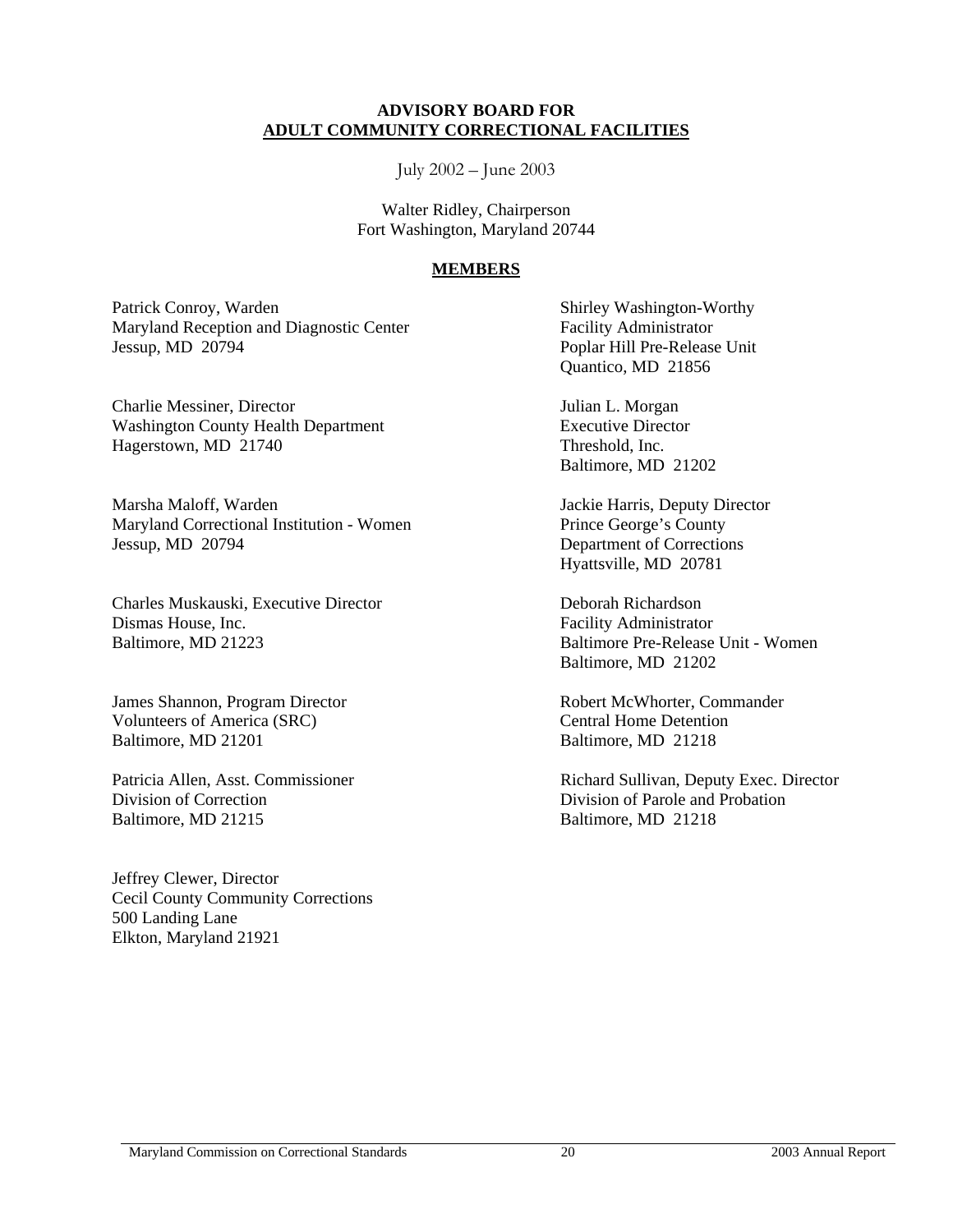### **ADVISORY BOARD FOR ADULT COMMUNITY CORRECTIONAL FACILITIES**

July 2002 – June 2003

Walter Ridley, Chairperson Fort Washington, Maryland 20744

#### **MEMBERS**

Patrick Conroy, Warden Shirley Washington-Worthy Maryland Reception and Diagnostic Center Facility Administrator Jessup, MD 20794 Poplar Hill Pre-Release Unit

Charlie Messiner, Director Julian L. Morgan Washington County Health Department Executive Director Hagerstown, MD 21740 Threshold, Inc.

Marsha Maloff, Warden Jackie Harris, Deputy Director Maryland Correctional Institution - Women Prince George's County Jessup, MD 20794 Department of Corrections

Charles Muskauski, Executive Director Deborah Richardson Dismas House, Inc. Facility Administrator Baltimore, MD 21223 Baltimore Pre-Release Unit - Women

James Shannon, Program Director Robert McWhorter, Commander Volunteers of America (SRC) Central Home Detention Baltimore, MD 21201 Baltimore, MD 21218

Division of Correction Division of Parole and Probation Baltimore, MD 21215 Baltimore, MD 21218

Jeffrey Clewer, Director Cecil County Community Corrections 500 Landing Lane Elkton, Maryland 21921

Quantico, MD 21856

Baltimore, MD 21202

Hyattsville, MD 20781

Baltimore, MD 21202

Patricia Allen, Asst. Commissioner **Richard Sullivan, Deputy Exec. Director** Richard Sullivan, Deputy Exec. Director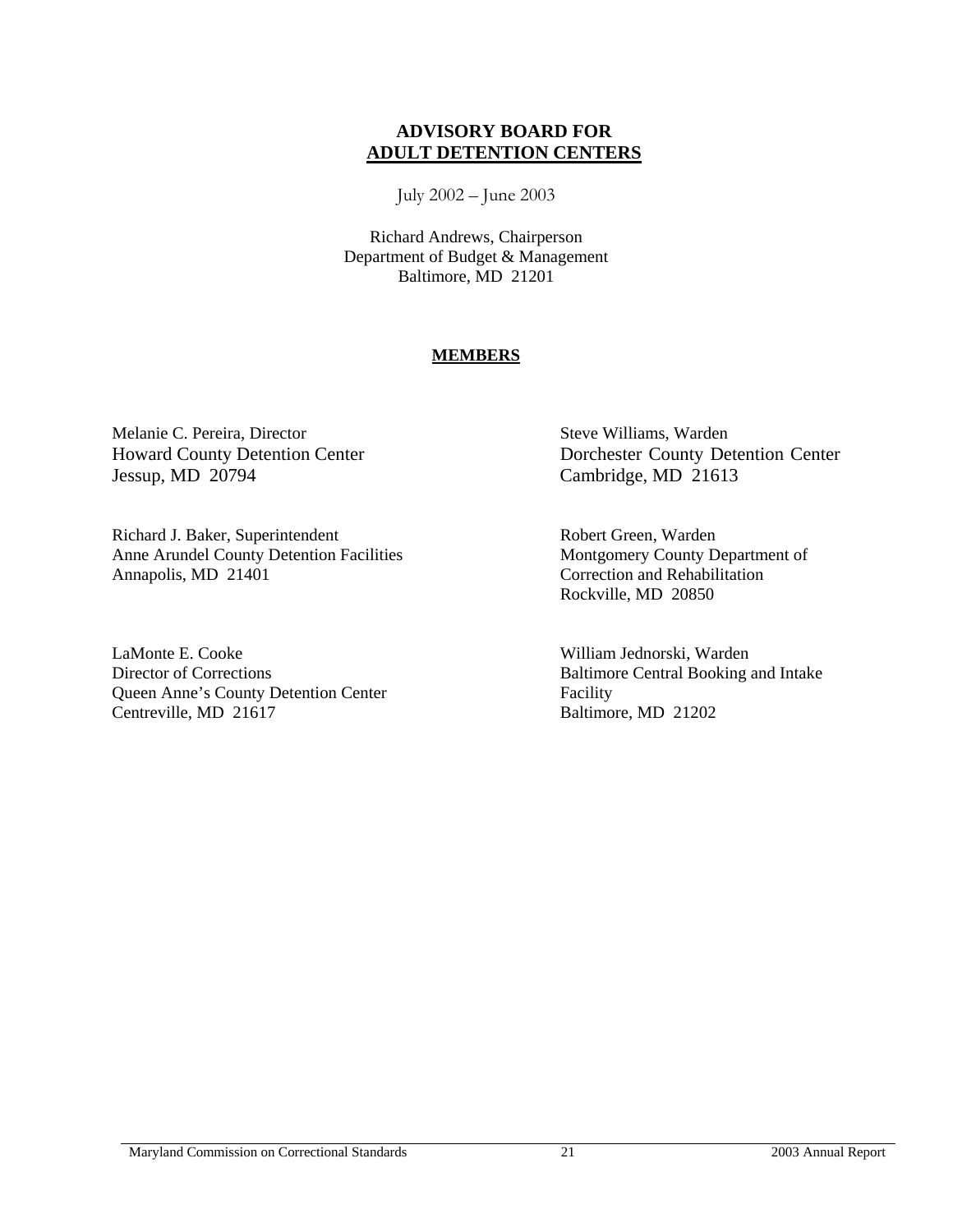### **ADVISORY BOARD FOR ADULT DETENTION CENTERS**

July 2002 – June 2003

Richard Andrews, Chairperson Department of Budget & Management Baltimore, MD 21201

### **MEMBERS**

Melanie C. Pereira, Director Steve Williams, Warden Jessup, MD 20794 Cambridge, MD 21613

Richard J. Baker, Superintendent Robert Green, Warden Anne Arundel County Detention Facilities Montgomery County Department of Annapolis, MD 21401 Correction and Rehabilitation

LaMonte E. Cooke William Jednorski, Warden Director of Corrections Baltimore Central Booking and Intake Queen Anne's County Detention Center Facility Centreville, MD 21617 Baltimore, MD 21202

Howard County Detention Center Dorchester County Detention Center

Rockville, MD 20850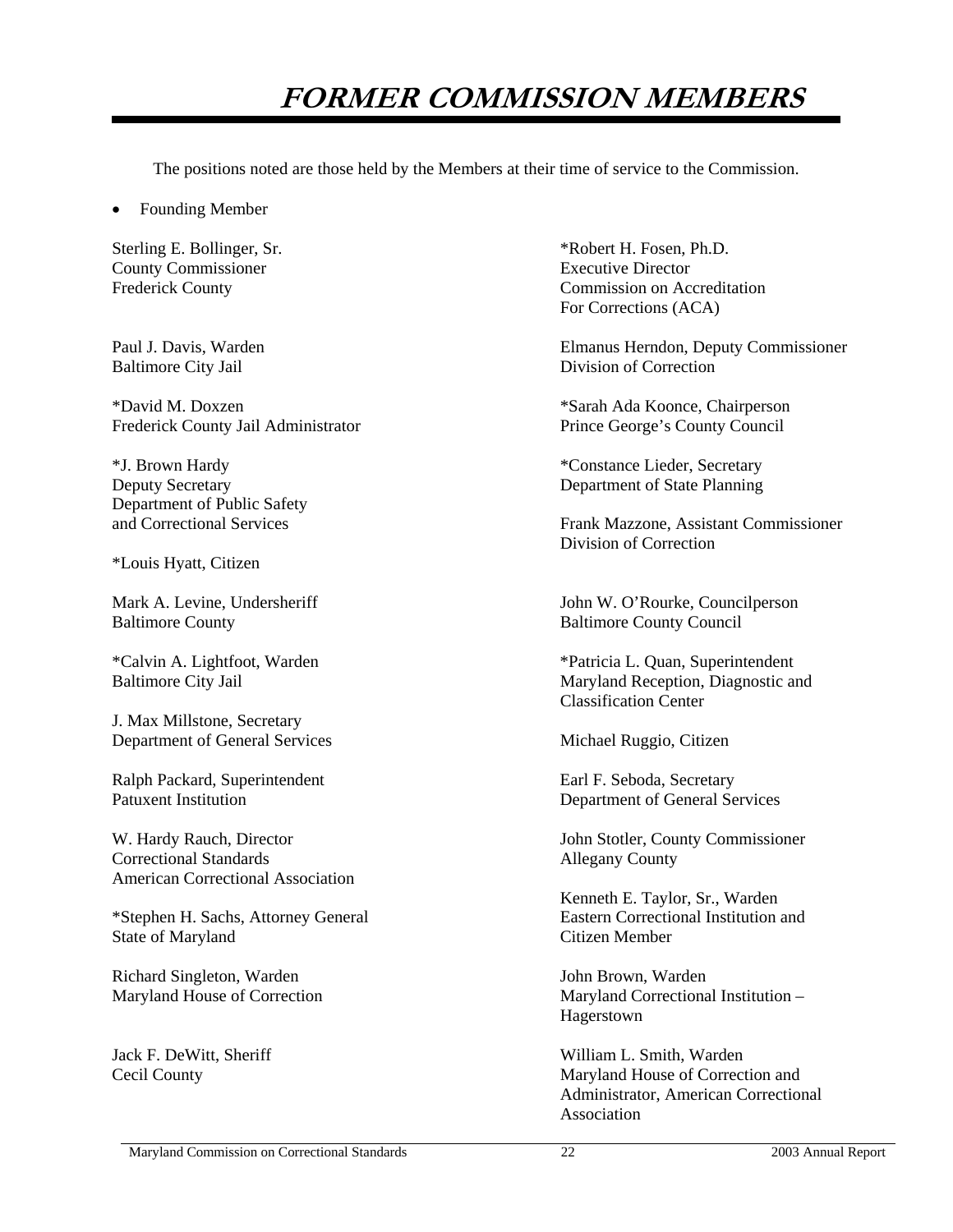### **FORMER COMMISSION MEMBERS**

The positions noted are those held by the Members at their time of service to the Commission.

Founding Member

County Commissioner Executive Director

\*David M. Doxzen \*Sarah Ada Koonce, Chairperson Frederick County Jail Administrator Prince George's County Council

Department of Public Safety

\*Louis Hyatt, Citizen

Baltimore County **Baltimore County Baltimore County Baltimore County Baltimore County Baltimore County Baltimore County Baltimore County Baltimore County Baltimore County Baltimore County Baltimore Coun** 

J. Max Millstone, Secretary Department of General Services Michael Ruggio, Citizen

Ralph Packard, Superintendent Earl F. Seboda, Secretary<br>
Patuxent Institution<br>
Penartment of General Secretary

**Correctional Standards Allegany County** American Correctional Association

\*Stephen H. Sachs, Attorney General Eastern Correctional Institution and State of Maryland Citizen Member

Richard Singleton, Warden John Brown, Warden

Sterling E. Bollinger, Sr. \*Robert H. Fosen, Ph.D. Frederick County **Commission** on Accreditation For Corrections (ACA)

Paul J. Davis, Warden Elmanus Herndon, Deputy Commissioner Baltimore City Jail **Division of Correction** 

\*J. Brown Hardy \*Constance Lieder, Secretary Deputy Secretary Department of State Planning

and Correctional Services Frank Mazzone, Assistant Commissioner Division of Correction

Mark A. Levine, Undersheriff  $\qquad \qquad$  John W. O'Rourke, Councilperson

\*Calvin A. Lightfoot, Warden \*Patricia L. Quan, Superintendent Baltimore City Jail Maryland Reception, Diagnostic and Classification Center

Department of General Services

W. Hardy Rauch, Director John Stotler, County Commissioner

Kenneth E. Taylor, Sr., Warden

Maryland House of Correction Maryland Correctional Institution – Hagerstown

Jack F. DeWitt, Sheriff William L. Smith, Warden Cecil County Maryland House of Correction and Administrator, American Correctional Association